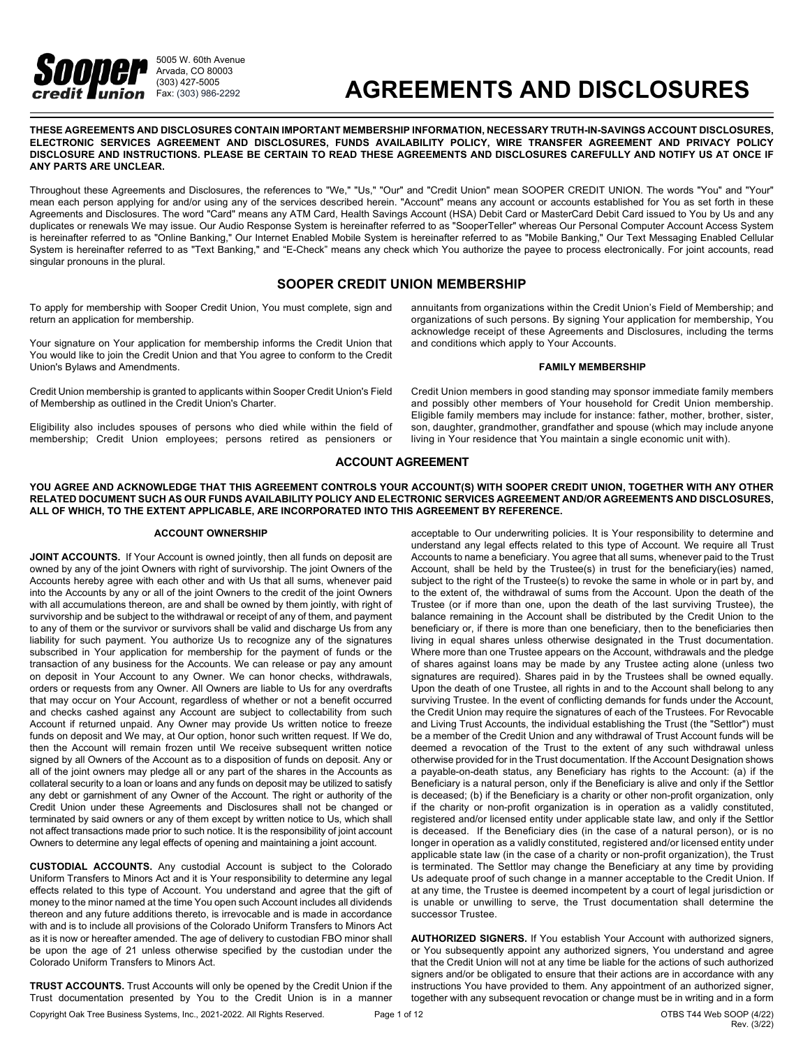

# **AGREEMENTS AND DISCLOSURES**

**THESE AGREEMENTS AND DISCLOSURES CONTAIN IMPORTANT MEMBERSHIP INFORMATION, NECESSARY TRUTH-IN-SAVINGS ACCOUNT DISCLOSURES, ELECTRONIC SERVICES AGREEMENT AND DISCLOSURES, FUNDS AVAILABILITY POLICY, WIRE TRANSFER AGREEMENT AND PRIVACY POLICY** DISCLOSURE AND INSTRUCTIONS. PLEASE BE CERTAIN TO READ THESE AGREEMENTS AND DISCLOSURES CAREFULLY AND NOTIFY US AT ONCE IF **ANY PARTS ARE UNCLEAR.**

Throughout these Agreements and Disclosures, the references to "We," "Us," "Our" and "Credit Union" mean SOOPER CREDIT UNION. The words "You" and "Your" mean each person applying for and/or using any of the services described herein. "Account" means any account or accounts established for You as set forth in these Agreements and Disclosures. The word "Card" means any ATM Card, Health Savings Account (HSA) Debit Card or MasterCard Debit Card issued to You by Us and any duplicates or renewals We may issue. Our Audio Response System is hereinafter referred to as "SooperTeller" whereas Our Personal Computer Account Access System is hereinafter referred to as "Online Banking," Our Internet Enabled Mobile System is hereinafter referred to as "Mobile Banking," Our Text Messaging Enabled Cellular System is hereinafter referred to as "Text Banking," and "E-Check" means any check which You authorize the payee to process electronically. For joint accounts, read singular pronouns in the plural.

## **SOOPER CREDIT UNION MEMBERSHIP**

To apply for membership with Sooper Credit Union, You must complete, sign and return an application for membership.

Your signature on Your application for membership informs the Credit Union that You would like to join the Credit Union and that You agree to conform to the Credit Union's Bylaws and Amendments.

Credit Union membership is granted to applicants within Sooper Credit Union's Field of Membership as outlined in the Credit Union's Charter.

Eligibility also includes spouses of persons who died while within the field of membership; Credit Union employees; persons retired as pensioners or

annuitants from organizations within the Credit Union's Field of Membership; and organizations of such persons. By signing Your application for membership, You acknowledge receipt of these Agreements and Disclosures, including the terms and conditions which apply to Your Accounts.

#### **FAMILY MEMBERSHIP**

Credit Union members in good standing may sponsor immediate family members and possibly other members of Your household for Credit Union membership. Eligible family members may include for instance: father, mother, brother, sister, son, daughter, grandmother, grandfather and spouse (which may include anyone living in Your residence that You maintain a single economic unit with).

## **ACCOUNT AGREEMENT**

YOU AGREE AND ACKNOWLEDGE THAT THIS AGREEMENT CONTROLS YOUR ACCOUNT(S) WITH SOOPER CREDIT UNION. TOGETHER WITH ANY OTHER RELATED DOCUMENT SUCH AS OUR FUNDS AVAILABILITY POLICY AND ELECTRONIC SERVICES AGREEMENT AND/OR AGREEMENTS AND DISCLOSURES. **ALL OF WHICH, TO THE EXTENT APPLICABLE, ARE INCORPORATED INTO THIS AGREEMENT BY REFERENCE.**

#### **ACCOUNT OWNERSHIP**

**JOINT ACCOUNTS.** If Your Account is owned jointly, then all funds on deposit are owned by any of the joint Owners with right of survivorship. The joint Owners of the Accounts hereby agree with each other and with Us that all sums, whenever paid into the Accounts by any or all of the joint Owners to the credit of the joint Owners with all accumulations thereon, are and shall be owned by them jointly, with right of survivorship and be subject to the withdrawal or receipt of any of them, and payment to any of them or the survivor or survivors shall be valid and discharge Us from any liability for such payment. You authorize Us to recognize any of the signatures subscribed in Your application for membership for the payment of funds or the transaction of any business for the Accounts. We can release or pay any amount on deposit in Your Account to any Owner. We can honor checks, withdrawals, orders or requests from any Owner. All Owners are liable to Us for any overdrafts that may occur on Your Account, regardless of whether or not a benefit occurred and checks cashed against any Account are subject to collectability from such Account if returned unpaid. Any Owner may provide Us written notice to freeze funds on deposit and We may, at Our option, honor such written request. If We do, then the Account will remain frozen until We receive subsequent written notice signed by all Owners of the Account as to a disposition of funds on deposit. Any or all of the joint owners may pledge all or any part of the shares in the Accounts as collateral security to a loan or loans and any funds on deposit may be utilized to satisfy any debt or garnishment of any Owner of the Account. The right or authority of the Credit Union under these Agreements and Disclosures shall not be changed or terminated by said owners or any of them except by written notice to Us, which shall not affect transactions made prior to such notice. It is the responsibility of joint account Owners to determine any legal effects of opening and maintaining a joint account.

**CUSTODIAL ACCOUNTS.** Any custodial Account is subject to the Colorado Uniform Transfers to Minors Act and it is Your responsibility to determine any legal effects related to this type of Account. You understand and agree that the gift of money to the minor named at the time You open such Account includes all dividends thereon and any future additions thereto, is irrevocable and is made in accordance with and is to include all provisions of the Colorado Uniform Transfers to Minors Act as it is now or hereafter amended. The age of delivery to custodian FBO minor shall be upon the age of 21 unless otherwise specified by the custodian under the Colorado Uniform Transfers to Minors Act.

Copyright Oak Tree Business Systems, Inc., 2021-2022. All Rights Reserved. Page 1 of 12 OTBS T44 Web SOOP (4/22) **TRUST ACCOUNTS.** Trust Accounts will only be opened by the Credit Union if the Trust documentation presented by You to the Credit Union is in a manner

acceptable to Our underwriting policies. It is Your responsibility to determine and understand any legal effects related to this type of Account. We require all Trust Accounts to name a beneficiary. You agree that all sums, whenever paid to the Trust Account, shall be held by the Trustee(s) in trust for the beneficiary(ies) named, subject to the right of the Trustee(s) to revoke the same in whole or in part by, and to the extent of, the withdrawal of sums from the Account. Upon the death of the Trustee (or if more than one, upon the death of the last surviving Trustee), the balance remaining in the Account shall be distributed by the Credit Union to the beneficiary or, if there is more than one beneficiary, then to the beneficiaries then living in equal shares unless otherwise designated in the Trust documentation. Where more than one Trustee appears on the Account, withdrawals and the pledge of shares against loans may be made by any Trustee acting alone (unless two signatures are required). Shares paid in by the Trustees shall be owned equally. Upon the death of one Trustee, all rights in and to the Account shall belong to any surviving Trustee. In the event of conflicting demands for funds under the Account, the Credit Union may require the signatures of each of the Trustees. For Revocable and Living Trust Accounts, the individual establishing the Trust (the "Settlor") must be a member of the Credit Union and any withdrawal of Trust Account funds will be deemed a revocation of the Trust to the extent of any such withdrawal unless otherwise provided for in the Trust documentation. If the Account Designation shows a payable-on-death status, any Beneficiary has rights to the Account: (a) if the Beneficiary is a natural person, only if the Beneficiary is alive and only if the Settlor is deceased; (b) if the Beneficiary is a charity or other non-profit organization, only if the charity or non-profit organization is in operation as a validly constituted, registered and/or licensed entity under applicable state law, and only if the Settlor is deceased. If the Beneficiary dies (in the case of a natural person), or is no longer in operation as a validly constituted, registered and/or licensed entity under applicable state law (in the case of a charity or non-profit organization), the Trust is terminated. The Settlor may change the Beneficiary at any time by providing Us adequate proof of such change in a manner acceptable to the Credit Union. If at any time, the Trustee is deemed incompetent by a court of legal jurisdiction or is unable or unwilling to serve, the Trust documentation shall determine the successor Trustee.

**AUTHORIZED SIGNERS.** If You establish Your Account with authorized signers, or You subsequently appoint any authorized signers, You understand and agree that the Credit Union will not at any time be liable for the actions of such authorized signers and/or be obligated to ensure that their actions are in accordance with any instructions You have provided to them. Any appointment of an authorized signer, together with any subsequent revocation or change must be in writing and in a form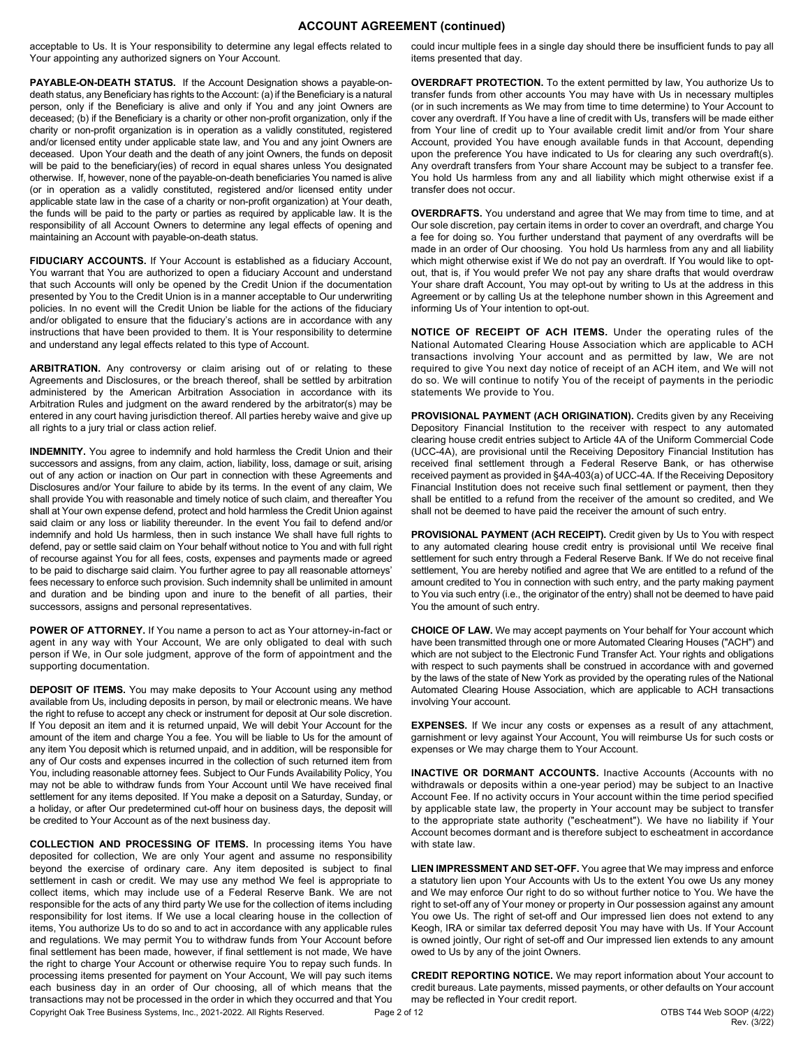## **ACCOUNT AGREEMENT (continued)**

acceptable to Us. It is Your responsibility to determine any legal effects related to Your appointing any authorized signers on Your Account.

**PAYABLE-ON-DEATH STATUS.** If the Account Designation shows a payable-ondeath status, any Beneficiary has rights to the Account: (a) if the Beneficiary is a natural person, only if the Beneficiary is alive and only if You and any joint Owners are deceased; (b) if the Beneficiary is a charity or other non-profit organization, only if the charity or non-profit organization is in operation as a validly constituted, registered and/or licensed entity under applicable state law, and You and any joint Owners are deceased. Upon Your death and the death of any joint Owners, the funds on deposit will be paid to the beneficiary(ies) of record in equal shares unless You designated otherwise. If, however, none of the payable-on-death beneficiaries You named is alive (or in operation as a validly constituted, registered and/or licensed entity under applicable state law in the case of a charity or non-profit organization) at Your death, the funds will be paid to the party or parties as required by applicable law. It is the responsibility of all Account Owners to determine any legal effects of opening and maintaining an Account with payable-on-death status.

**FIDUCIARY ACCOUNTS.** If Your Account is established as a fiduciary Account, You warrant that You are authorized to open a fiduciary Account and understand that such Accounts will only be opened by the Credit Union if the documentation presented by You to the Credit Union is in a manner acceptable to Our underwriting policies. In no event will the Credit Union be liable for the actions of the fiduciary and/or obligated to ensure that the fiduciary's actions are in accordance with any instructions that have been provided to them. It is Your responsibility to determine and understand any legal effects related to this type of Account.

**ARBITRATION.** Any controversy or claim arising out of or relating to these Agreements and Disclosures, or the breach thereof, shall be settled by arbitration administered by the American Arbitration Association in accordance with its Arbitration Rules and judgment on the award rendered by the arbitrator(s) may be entered in any court having jurisdiction thereof. All parties hereby waive and give up all rights to a jury trial or class action relief.

**INDEMNITY.** You agree to indemnify and hold harmless the Credit Union and their successors and assigns, from any claim, action, liability, loss, damage or suit, arising out of any action or inaction on Our part in connection with these Agreements and Disclosures and/or Your failure to abide by its terms. In the event of any claim, We shall provide You with reasonable and timely notice of such claim, and thereafter You shall at Your own expense defend, protect and hold harmless the Credit Union against said claim or any loss or liability thereunder. In the event You fail to defend and/or indemnify and hold Us harmless, then in such instance We shall have full rights to defend, pay or settle said claim on Your behalf without notice to You and with full right of recourse against You for all fees, costs, expenses and payments made or agreed to be paid to discharge said claim. You further agree to pay all reasonable attorneys' fees necessary to enforce such provision. Such indemnity shall be unlimited in amount and duration and be binding upon and inure to the benefit of all parties, their successors, assigns and personal representatives.

**POWER OF ATTORNEY.** If You name a person to act as Your attorney-in-fact or agent in any way with Your Account, We are only obligated to deal with such person if We, in Our sole judgment, approve of the form of appointment and the supporting documentation.

**DEPOSIT OF ITEMS.** You may make deposits to Your Account using any method available from Us, including deposits in person, by mail or electronic means. We have the right to refuse to accept any check or instrument for deposit at Our sole discretion. If You deposit an item and it is returned unpaid, We will debit Your Account for the amount of the item and charge You a fee. You will be liable to Us for the amount of any item You deposit which is returned unpaid, and in addition, will be responsible for any of Our costs and expenses incurred in the collection of such returned item from You, including reasonable attorney fees. Subject to Our Funds Availability Policy, You may not be able to withdraw funds from Your Account until We have received final settlement for any items deposited. If You make a deposit on a Saturday, Sunday, or a holiday, or after Our predetermined cut-off hour on business days, the deposit will be credited to Your Account as of the next business day.

Copyright Oak Tree Business Systems, Inc., 2021-2022. All Rights Reserved. Page 2 of 12 OTBS T44 Web SOOP (4/22) **COLLECTION AND PROCESSING OF ITEMS.** In processing items You have deposited for collection, We are only Your agent and assume no responsibility beyond the exercise of ordinary care. Any item deposited is subject to final settlement in cash or credit. We may use any method We feel is appropriate to collect items, which may include use of a Federal Reserve Bank. We are not responsible for the acts of any third party We use for the collection of items including responsibility for lost items. If We use a local clearing house in the collection of items, You authorize Us to do so and to act in accordance with any applicable rules and regulations. We may permit You to withdraw funds from Your Account before final settlement has been made, however, if final settlement is not made, We have the right to charge Your Account or otherwise require You to repay such funds. In processing items presented for payment on Your Account, We will pay such items each business day in an order of Our choosing, all of which means that the transactions may not be processed in the order in which they occurred and that You

could incur multiple fees in a single day should there be insufficient funds to pay all items presented that day.

**OVERDRAFT PROTECTION.** To the extent permitted by law, You authorize Us to transfer funds from other accounts You may have with Us in necessary multiples (or in such increments as We may from time to time determine) to Your Account to cover any overdraft. If You have a line of credit with Us, transfers will be made either from Your line of credit up to Your available credit limit and/or from Your share Account, provided You have enough available funds in that Account, depending upon the preference You have indicated to Us for clearing any such overdraft(s). Any overdraft transfers from Your share Account may be subject to a transfer fee. You hold Us harmless from any and all liability which might otherwise exist if a transfer does not occur.

**OVERDRAFTS.** You understand and agree that We may from time to time, and at Our sole discretion, pay certain items in order to cover an overdraft, and charge You a fee for doing so. You further understand that payment of any overdrafts will be made in an order of Our choosing. You hold Us harmless from any and all liability which might otherwise exist if We do not pay an overdraft. If You would like to optout, that is, if You would prefer We not pay any share drafts that would overdraw Your share draft Account, You may opt-out by writing to Us at the address in this Agreement or by calling Us at the telephone number shown in this Agreement and informing Us of Your intention to opt-out.

**NOTICE OF RECEIPT OF ACH ITEMS.** Under the operating rules of the National Automated Clearing House Association which are applicable to ACH transactions involving Your account and as permitted by law, We are not required to give You next day notice of receipt of an ACH item, and We will not do so. We will continue to notify You of the receipt of payments in the periodic statements We provide to You.

**PROVISIONAL PAYMENT (ACH ORIGINATION).** Credits given by any Receiving Depository Financial Institution to the receiver with respect to any automated clearing house credit entries subject to Article 4A of the Uniform Commercial Code (UCC-4A), are provisional until the Receiving Depository Financial Institution has received final settlement through a Federal Reserve Bank, or has otherwise received payment as provided in §4A-403(a) of UCC-4A. If the Receiving Depository Financial Institution does not receive such final settlement or payment, then they shall be entitled to a refund from the receiver of the amount so credited, and We shall not be deemed to have paid the receiver the amount of such entry.

**PROVISIONAL PAYMENT (ACH RECEIPT).** Credit given by Us to You with respect to any automated clearing house credit entry is provisional until We receive final settlement for such entry through a Federal Reserve Bank. If We do not receive final settlement, You are hereby notified and agree that We are entitled to a refund of the amount credited to You in connection with such entry, and the party making payment to You via such entry (i.e., the originator of the entry) shall not be deemed to have paid You the amount of such entry.

**CHOICE OF LAW.** We may accept payments on Your behalf for Your account which have been transmitted through one or more Automated Clearing Houses ("ACH") and which are not subject to the Electronic Fund Transfer Act. Your rights and obligations with respect to such payments shall be construed in accordance with and governed by the laws of the state of New York as provided by the operating rules of the National Automated Clearing House Association, which are applicable to ACH transactions involving Your account.

**EXPENSES.** If We incur any costs or expenses as a result of any attachment, garnishment or levy against Your Account, You will reimburse Us for such costs or expenses or We may charge them to Your Account.

**INACTIVE OR DORMANT ACCOUNTS.** Inactive Accounts (Accounts with no withdrawals or deposits within a one-year period) may be subject to an Inactive Account Fee. If no activity occurs in Your account within the time period specified by applicable state law, the property in Your account may be subject to transfer to the appropriate state authority ("escheatment"). We have no liability if Your Account becomes dormant and is therefore subject to escheatment in accordance with state law.

**LIEN IMPRESSMENT AND SET-OFF.** You agree that We may impress and enforce a statutory lien upon Your Accounts with Us to the extent You owe Us any money and We may enforce Our right to do so without further notice to You. We have the right to set-off any of Your money or property in Our possession against any amount You owe Us. The right of set-off and Our impressed lien does not extend to any Keogh, IRA or similar tax deferred deposit You may have with Us. If Your Account is owned jointly, Our right of set-off and Our impressed lien extends to any amount owed to Us by any of the joint Owners.

**CREDIT REPORTING NOTICE.** We may report information about Your account to credit bureaus. Late payments, missed payments, or other defaults on Your account may be reflected in Your credit report.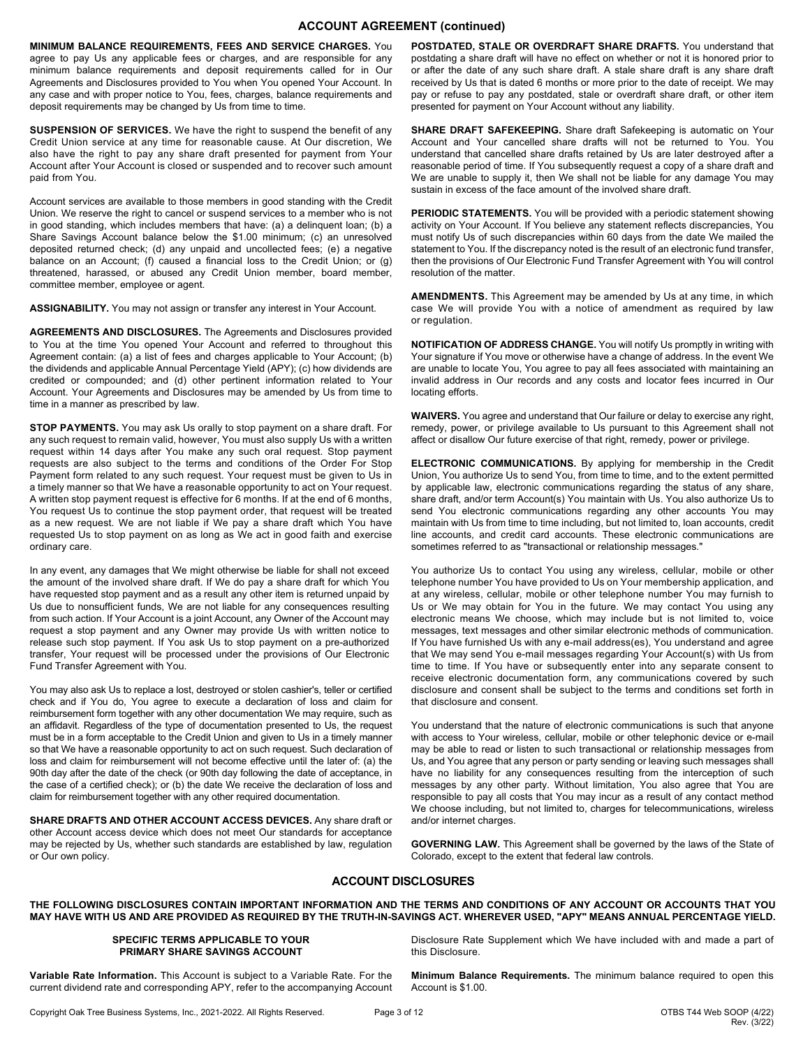## **ACCOUNT AGREEMENT (continued)**

**MINIMUM BALANCE REQUIREMENTS, FEES AND SERVICE CHARGES.** You agree to pay Us any applicable fees or charges, and are responsible for any minimum balance requirements and deposit requirements called for in Our Agreements and Disclosures provided to You when You opened Your Account. In any case and with proper notice to You, fees, charges, balance requirements and deposit requirements may be changed by Us from time to time.

**SUSPENSION OF SERVICES.** We have the right to suspend the benefit of any Credit Union service at any time for reasonable cause. At Our discretion, We also have the right to pay any share draft presented for payment from Your Account after Your Account is closed or suspended and to recover such amount paid from You.

Account services are available to those members in good standing with the Credit Union. We reserve the right to cancel or suspend services to a member who is not in good standing, which includes members that have: (a) a delinquent loan; (b) a Share Savings Account balance below the \$1.00 minimum; (c) an unresolved deposited returned check; (d) any unpaid and uncollected fees; (e) a negative balance on an Account; (f) caused a financial loss to the Credit Union; or (g) threatened, harassed, or abused any Credit Union member, board member, committee member, employee or agent.

**ASSIGNABILITY.** You may not assign or transfer any interest in Your Account.

**AGREEMENTS AND DISCLOSURES.** The Agreements and Disclosures provided to You at the time You opened Your Account and referred to throughout this Agreement contain: (a) a list of fees and charges applicable to Your Account; (b) the dividends and applicable Annual Percentage Yield (APY); (c) how dividends are credited or compounded; and (d) other pertinent information related to Your Account. Your Agreements and Disclosures may be amended by Us from time to time in a manner as prescribed by law.

**STOP PAYMENTS.** You may ask Us orally to stop payment on a share draft. For any such request to remain valid, however, You must also supply Us with a written request within 14 days after You make any such oral request. Stop payment requests are also subject to the terms and conditions of the Order For Stop Payment form related to any such request. Your request must be given to Us in a timely manner so that We have a reasonable opportunity to act on Your request. A written stop payment request is effective for 6 months. If at the end of 6 months, You request Us to continue the stop payment order, that request will be treated as a new request. We are not liable if We pay a share draft which You have requested Us to stop payment on as long as We act in good faith and exercise ordinary care.

In any event, any damages that We might otherwise be liable for shall not exceed the amount of the involved share draft. If We do pay a share draft for which You have requested stop payment and as a result any other item is returned unpaid by Us due to nonsufficient funds, We are not liable for any consequences resulting from such action. If Your Account is a joint Account, any Owner of the Account may request a stop payment and any Owner may provide Us with written notice to release such stop payment. If You ask Us to stop payment on a pre-authorized transfer, Your request will be processed under the provisions of Our Electronic Fund Transfer Agreement with You.

You may also ask Us to replace a lost, destroyed or stolen cashier's, teller or certified check and if You do, You agree to execute a declaration of loss and claim for reimbursement form together with any other documentation We may require, such as an affidavit. Regardless of the type of documentation presented to Us, the request must be in a form acceptable to the Credit Union and given to Us in a timely manner so that We have a reasonable opportunity to act on such request. Such declaration of loss and claim for reimbursement will not become effective until the later of: (a) the 90th day after the date of the check (or 90th day following the date of acceptance, in the case of a certified check); or (b) the date We receive the declaration of loss and claim for reimbursement together with any other required documentation.

**SHARE DRAFTS AND OTHER ACCOUNT ACCESS DEVICES.** Any share draft or other Account access device which does not meet Our standards for acceptance may be rejected by Us, whether such standards are established by law, regulation or Our own policy.

**POSTDATED, STALE OR OVERDRAFT SHARE DRAFTS.** You understand that postdating a share draft will have no effect on whether or not it is honored prior to or after the date of any such share draft. A stale share draft is any share draft received by Us that is dated 6 months or more prior to the date of receipt. We may pay or refuse to pay any postdated, stale or overdraft share draft, or other item presented for payment on Your Account without any liability.

**SHARE DRAFT SAFEKEEPING.** Share draft Safekeeping is automatic on Your Account and Your cancelled share drafts will not be returned to You. You understand that cancelled share drafts retained by Us are later destroyed after a reasonable period of time. If You subsequently request a copy of a share draft and We are unable to supply it, then We shall not be liable for any damage You may sustain in excess of the face amount of the involved share draft.

**PERIODIC STATEMENTS.** You will be provided with a periodic statement showing activity on Your Account. If You believe any statement reflects discrepancies, You must notify Us of such discrepancies within 60 days from the date We mailed the statement to You. If the discrepancy noted is the result of an electronic fund transfer, then the provisions of Our Electronic Fund Transfer Agreement with You will control resolution of the matter.

**AMENDMENTS.** This Agreement may be amended by Us at any time, in which case We will provide You with a notice of amendment as required by law or regulation.

**NOTIFICATION OF ADDRESS CHANGE.** You will notify Us promptly in writing with Your signature if You move or otherwise have a change of address. In the event We are unable to locate You, You agree to pay all fees associated with maintaining an invalid address in Our records and any costs and locator fees incurred in Our locating efforts.

**WAIVERS.** You agree and understand that Our failure or delay to exercise any right, remedy, power, or privilege available to Us pursuant to this Agreement shall not affect or disallow Our future exercise of that right, remedy, power or privilege.

**ELECTRONIC COMMUNICATIONS.** By applying for membership in the Credit Union, You authorize Us to send You, from time to time, and to the extent permitted by applicable law, electronic communications regarding the status of any share, share draft, and/or term Account(s) You maintain with Us. You also authorize Us to send You electronic communications regarding any other accounts You may maintain with Us from time to time including, but not limited to, loan accounts, credit line accounts, and credit card accounts. These electronic communications are sometimes referred to as "transactional or relationship messages."

You authorize Us to contact You using any wireless, cellular, mobile or other telephone number You have provided to Us on Your membership application, and at any wireless, cellular, mobile or other telephone number You may furnish to Us or We may obtain for You in the future. We may contact You using any electronic means We choose, which may include but is not limited to, voice messages, text messages and other similar electronic methods of communication. If You have furnished Us with any e-mail address(es), You understand and agree that We may send You e-mail messages regarding Your Account(s) with Us from time to time. If You have or subsequently enter into any separate consent to receive electronic documentation form, any communications covered by such disclosure and consent shall be subject to the terms and conditions set forth in that disclosure and consent.

You understand that the nature of electronic communications is such that anyone with access to Your wireless, cellular, mobile or other telephonic device or e-mail may be able to read or listen to such transactional or relationship messages from Us, and You agree that any person or party sending or leaving such messages shall have no liability for any consequences resulting from the interception of such messages by any other party. Without limitation, You also agree that You are responsible to pay all costs that You may incur as a result of any contact method We choose including, but not limited to, charges for telecommunications, wireless and/or internet charges.

**GOVERNING LAW.** This Agreement shall be governed by the laws of the State of Colorado, except to the extent that federal law controls.

## **ACCOUNT DISCLOSURES**

THE FOLLOWING DISCLOSURES CONTAIN IMPORTANT INFORMATION AND THE TERMS AND CONDITIONS OF ANY ACCOUNT OR ACCOUNTS THAT YOU MAY HAVE WITH US AND ARE PROVIDED AS REQUIRED BY THE TRUTH-IN-SAVINGS ACT. WHEREVER USED, "APY" MEANS ANNUAL PERCENTAGE YIELD.

#### **SPECIFIC TERMS APPLICABLE TO YOUR PRIMARY SHARE SAVINGS ACCOUNT**

**Variable Rate Information.** This Account is subject to a Variable Rate. For the current dividend rate and corresponding APY, refer to the accompanying Account

Disclosure Rate Supplement which We have included with and made a part of this Disclosure.

**Minimum Balance Requirements.** The minimum balance required to open this Account is \$1.00.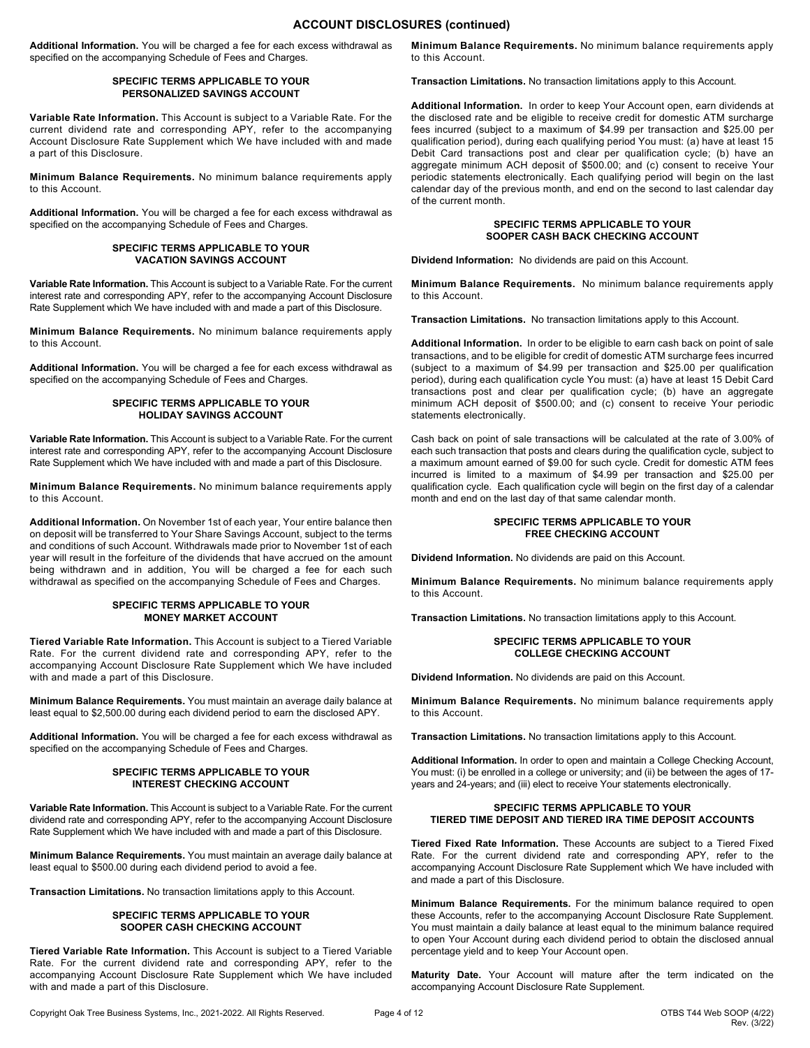**Additional Information.** You will be charged a fee for each excess withdrawal as specified on the accompanying Schedule of Fees and Charges.

#### **SPECIFIC TERMS APPLICABLE TO YOUR PERSONALIZED SAVINGS ACCOUNT**

**Variable Rate Information.** This Account is subject to a Variable Rate. For the current dividend rate and corresponding APY, refer to the accompanying Account Disclosure Rate Supplement which We have included with and made a part of this Disclosure.

**Minimum Balance Requirements.** No minimum balance requirements apply to this Account.

**Additional Information.** You will be charged a fee for each excess withdrawal as specified on the accompanying Schedule of Fees and Charges.

#### **SPECIFIC TERMS APPLICABLE TO YOUR VACATION SAVINGS ACCOUNT**

**Variable Rate Information.** This Account is subject to a Variable Rate. For the current interest rate and corresponding APY, refer to the accompanying Account Disclosure Rate Supplement which We have included with and made a part of this Disclosure.

**Minimum Balance Requirements.** No minimum balance requirements apply to this Account.

**Additional Information.** You will be charged a fee for each excess withdrawal as specified on the accompanying Schedule of Fees and Charges.

#### **SPECIFIC TERMS APPLICABLE TO YOUR HOLIDAY SAVINGS ACCOUNT**

**Variable Rate Information.** This Account is subject to a Variable Rate. For the current interest rate and corresponding APY, refer to the accompanying Account Disclosure Rate Supplement which We have included with and made a part of this Disclosure.

**Minimum Balance Requirements.** No minimum balance requirements apply to this Account.

**Additional Information.** On November 1st of each year, Your entire balance then on deposit will be transferred to Your Share Savings Account, subject to the terms and conditions of such Account. Withdrawals made prior to November 1st of each year will result in the forfeiture of the dividends that have accrued on the amount being withdrawn and in addition, You will be charged a fee for each such withdrawal as specified on the accompanying Schedule of Fees and Charges.

#### **SPECIFIC TERMS APPLICABLE TO YOUR MONEY MARKET ACCOUNT**

**Tiered Variable Rate Information.** This Account is subject to a Tiered Variable Rate. For the current dividend rate and corresponding APY, refer to the accompanying Account Disclosure Rate Supplement which We have included with and made a part of this Disclosure.

**Minimum Balance Requirements.** You must maintain an average daily balance at least equal to \$2,500.00 during each dividend period to earn the disclosed APY.

**Additional Information.** You will be charged a fee for each excess withdrawal as specified on the accompanying Schedule of Fees and Charges.

#### **SPECIFIC TERMS APPLICABLE TO YOUR INTEREST CHECKING ACCOUNT**

**Variable Rate Information.** This Account is subject to a Variable Rate. For the current dividend rate and corresponding APY, refer to the accompanying Account Disclosure Rate Supplement which We have included with and made a part of this Disclosure.

**Minimum Balance Requirements.** You must maintain an average daily balance at least equal to \$500.00 during each dividend period to avoid a fee.

**Transaction Limitations.** No transaction limitations apply to this Account.

#### **SPECIFIC TERMS APPLICABLE TO YOUR SOOPER CASH CHECKING ACCOUNT**

**Tiered Variable Rate Information.** This Account is subject to a Tiered Variable Rate. For the current dividend rate and corresponding APY, refer to the accompanying Account Disclosure Rate Supplement which We have included with and made a part of this Disclosure.

**Minimum Balance Requirements.** No minimum balance requirements apply to this Account.

**Transaction Limitations.** No transaction limitations apply to this Account.

**Additional Information.** In order to keep Your Account open, earn dividends at the disclosed rate and be eligible to receive credit for domestic ATM surcharge fees incurred (subject to a maximum of \$4.99 per transaction and \$25.00 per qualification period), during each qualifying period You must: (a) have at least 15 Debit Card transactions post and clear per qualification cycle; (b) have an aggregate minimum ACH deposit of \$500.00; and (c) consent to receive Your periodic statements electronically. Each qualifying period will begin on the last calendar day of the previous month, and end on the second to last calendar day of the current month.

#### **SPECIFIC TERMS APPLICABLE TO YOUR SOOPER CASH BACK CHECKING ACCOUNT**

**Dividend Information:** No dividends are paid on this Account.

**Minimum Balance Requirements.** No minimum balance requirements apply to this Account.

**Transaction Limitations.** No transaction limitations apply to this Account.

**Additional Information.** In order to be eligible to earn cash back on point of sale transactions, and to be eligible for credit of domestic ATM surcharge fees incurred (subject to a maximum of \$4.99 per transaction and \$25.00 per qualification period), during each qualification cycle You must: (a) have at least 15 Debit Card transactions post and clear per qualification cycle; (b) have an aggregate minimum ACH deposit of \$500.00; and (c) consent to receive Your periodic statements electronically.

Cash back on point of sale transactions will be calculated at the rate of 3.00% of each such transaction that posts and clears during the qualification cycle, subject to a maximum amount earned of \$9.00 for such cycle. Credit for domestic ATM fees incurred is limited to a maximum of \$4.99 per transaction and \$25.00 per qualification cycle. Each qualification cycle will begin on the first day of a calendar month and end on the last day of that same calendar month.

#### **SPECIFIC TERMS APPLICABLE TO YOUR FREE CHECKING ACCOUNT**

**Dividend Information.** No dividends are paid on this Account.

**Minimum Balance Requirements.** No minimum balance requirements apply to this Account.

**Transaction Limitations.** No transaction limitations apply to this Account.

#### **SPECIFIC TERMS APPLICABLE TO YOUR COLLEGE CHECKING ACCOUNT**

**Dividend Information.** No dividends are paid on this Account.

**Minimum Balance Requirements.** No minimum balance requirements apply to this Account.

**Transaction Limitations.** No transaction limitations apply to this Account.

**Additional Information.** In order to open and maintain a College Checking Account, You must: (i) be enrolled in a college or university; and (ii) be between the ages of 17 years and 24-years; and (iii) elect to receive Your statements electronically.

#### **SPECIFIC TERMS APPLICABLE TO YOUR TIERED TIME DEPOSIT AND TIERED IRA TIME DEPOSIT ACCOUNTS**

**Tiered Fixed Rate Information.** These Accounts are subject to a Tiered Fixed Rate. For the current dividend rate and corresponding APY, refer to the accompanying Account Disclosure Rate Supplement which We have included with and made a part of this Disclosure.

**Minimum Balance Requirements.** For the minimum balance required to open these Accounts, refer to the accompanying Account Disclosure Rate Supplement. You must maintain a daily balance at least equal to the minimum balance required to open Your Account during each dividend period to obtain the disclosed annual percentage yield and to keep Your Account open.

**Maturity Date.** Your Account will mature after the term indicated on the accompanying Account Disclosure Rate Supplement.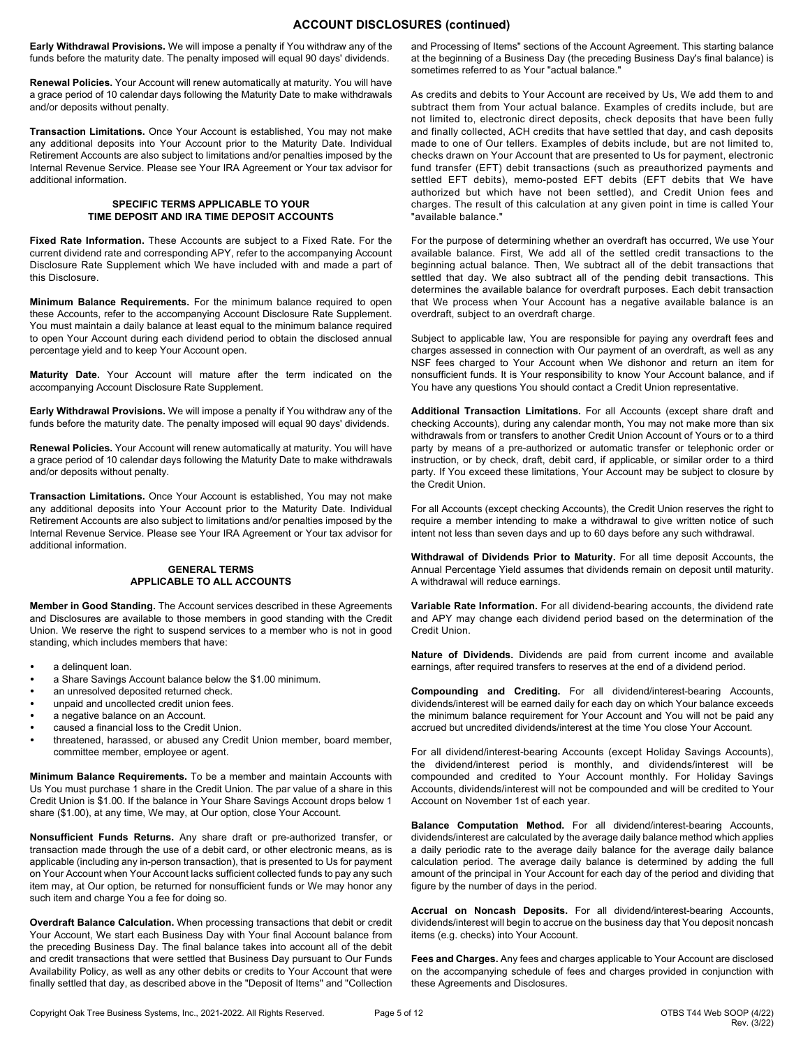## **ACCOUNT DISCLOSURES (continued)**

**Early Withdrawal Provisions.** We will impose a penalty if You withdraw any of the funds before the maturity date. The penalty imposed will equal 90 days' dividends.

**Renewal Policies.** Your Account will renew automatically at maturity. You will have a grace period of 10 calendar days following the Maturity Date to make withdrawals and/or deposits without penalty.

**Transaction Limitations.** Once Your Account is established, You may not make any additional deposits into Your Account prior to the Maturity Date. Individual Retirement Accounts are also subject to limitations and/or penalties imposed by the Internal Revenue Service. Please see Your IRA Agreement or Your tax advisor for additional information.

#### **SPECIFIC TERMS APPLICABLE TO YOUR TIME DEPOSIT AND IRA TIME DEPOSIT ACCOUNTS**

**Fixed Rate Information.** These Accounts are subject to a Fixed Rate. For the current dividend rate and corresponding APY, refer to the accompanying Account Disclosure Rate Supplement which We have included with and made a part of this Disclosure.

**Minimum Balance Requirements.** For the minimum balance required to open these Accounts, refer to the accompanying Account Disclosure Rate Supplement. You must maintain a daily balance at least equal to the minimum balance required to open Your Account during each dividend period to obtain the disclosed annual percentage yield and to keep Your Account open.

**Maturity Date.** Your Account will mature after the term indicated on the accompanying Account Disclosure Rate Supplement.

**Early Withdrawal Provisions.** We will impose a penalty if You withdraw any of the funds before the maturity date. The penalty imposed will equal 90 days' dividends.

**Renewal Policies.** Your Account will renew automatically at maturity. You will have a grace period of 10 calendar days following the Maturity Date to make withdrawals and/or deposits without penalty.

**Transaction Limitations.** Once Your Account is established, You may not make any additional deposits into Your Account prior to the Maturity Date. Individual Retirement Accounts are also subject to limitations and/or penalties imposed by the Internal Revenue Service. Please see Your IRA Agreement or Your tax advisor for additional information.

#### **GENERAL TERMS APPLICABLE TO ALL ACCOUNTS**

**Member in Good Standing.** The Account services described in these Agreements and Disclosures are available to those members in good standing with the Credit Union. We reserve the right to suspend services to a member who is not in good standing, which includes members that have:

- a delinquent loan.
- a Share Savings Account balance below the \$1.00 minimum.
- an unresolved deposited returned check.
- unpaid and uncollected credit union fees.
- a negative balance on an Account.
- caused a financial loss to the Credit Union.
- threatened, harassed, or abused any Credit Union member, board member, committee member, employee or agent.

**Minimum Balance Requirements.** To be a member and maintain Accounts with Us You must purchase 1 share in the Credit Union. The par value of a share in this Credit Union is \$1.00. If the balance in Your Share Savings Account drops below 1 share (\$1.00), at any time, We may, at Our option, close Your Account.

**Nonsufficient Funds Returns.** Any share draft or pre-authorized transfer, or transaction made through the use of a debit card, or other electronic means, as is applicable (including any in-person transaction), that is presented to Us for payment on Your Account when Your Account lacks sufficient collected funds to pay any such item may, at Our option, be returned for nonsufficient funds or We may honor any such item and charge You a fee for doing so.

**Overdraft Balance Calculation.** When processing transactions that debit or credit Your Account, We start each Business Day with Your final Account balance from the preceding Business Day. The final balance takes into account all of the debit and credit transactions that were settled that Business Day pursuant to Our Funds Availability Policy, as well as any other debits or credits to Your Account that were finally settled that day, as described above in the "Deposit of Items" and "Collection

and Processing of Items" sections of the Account Agreement. This starting balance at the beginning of a Business Day (the preceding Business Day's final balance) is sometimes referred to as Your "actual balance."

As credits and debits to Your Account are received by Us, We add them to and subtract them from Your actual balance. Examples of credits include, but are not limited to, electronic direct deposits, check deposits that have been fully and finally collected, ACH credits that have settled that day, and cash deposits made to one of Our tellers. Examples of debits include, but are not limited to, checks drawn on Your Account that are presented to Us for payment, electronic fund transfer (EFT) debit transactions (such as preauthorized payments and settled EFT debits), memo-posted EFT debits (EFT debits that We have authorized but which have not been settled), and Credit Union fees and charges. The result of this calculation at any given point in time is called Your "available balance."

For the purpose of determining whether an overdraft has occurred, We use Your available balance. First, We add all of the settled credit transactions to the beginning actual balance. Then, We subtract all of the debit transactions that settled that day. We also subtract all of the pending debit transactions. This determines the available balance for overdraft purposes. Each debit transaction that We process when Your Account has a negative available balance is an overdraft, subject to an overdraft charge.

Subject to applicable law, You are responsible for paying any overdraft fees and charges assessed in connection with Our payment of an overdraft, as well as any NSF fees charged to Your Account when We dishonor and return an item for nonsufficient funds. It is Your responsibility to know Your Account balance, and if You have any questions You should contact a Credit Union representative.

**Additional Transaction Limitations.** For all Accounts (except share draft and checking Accounts), during any calendar month, You may not make more than six withdrawals from or transfers to another Credit Union Account of Yours or to a third party by means of a pre-authorized or automatic transfer or telephonic order or instruction, or by check, draft, debit card, if applicable, or similar order to a third party. If You exceed these limitations, Your Account may be subject to closure by the Credit Union.

For all Accounts (except checking Accounts), the Credit Union reserves the right to require a member intending to make a withdrawal to give written notice of such intent not less than seven days and up to 60 days before any such withdrawal.

**Withdrawal of Dividends Prior to Maturity.** For all time deposit Accounts, the Annual Percentage Yield assumes that dividends remain on deposit until maturity. A withdrawal will reduce earnings.

**Variable Rate Information.** For all dividend-bearing accounts, the dividend rate and APY may change each dividend period based on the determination of the Credit Union.

**Nature of Dividends.** Dividends are paid from current income and available earnings, after required transfers to reserves at the end of a dividend period.

**Compounding and Crediting.** For all dividend/interest-bearing Accounts, dividends/interest will be earned daily for each day on which Your balance exceeds the minimum balance requirement for Your Account and You will not be paid any accrued but uncredited dividends/interest at the time You close Your Account.

For all dividend/interest-bearing Accounts (except Holiday Savings Accounts), the dividend/interest period is monthly, and dividends/interest will be compounded and credited to Your Account monthly. For Holiday Savings Accounts, dividends/interest will not be compounded and will be credited to Your Account on November 1st of each year.

**Balance Computation Method.** For all dividend/interest-bearing Accounts, dividends/interest are calculated by the average daily balance method which applies a daily periodic rate to the average daily balance for the average daily balance calculation period. The average daily balance is determined by adding the full amount of the principal in Your Account for each day of the period and dividing that figure by the number of days in the period.

**Accrual on Noncash Deposits.** For all dividend/interest-bearing Accounts, dividends/interest will begin to accrue on the business day that You deposit noncash items (e.g. checks) into Your Account.

**Fees and Charges.** Any fees and charges applicable to Your Account are disclosed on the accompanying schedule of fees and charges provided in conjunction with these Agreements and Disclosures.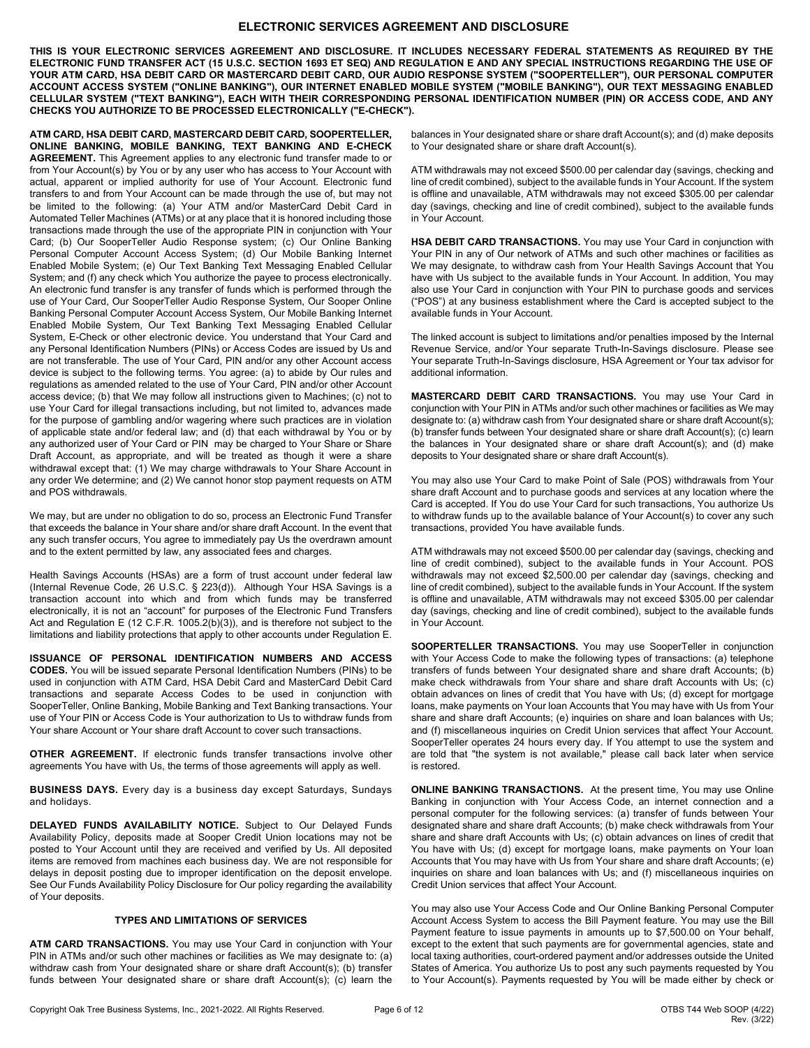## **ELECTRONIC SERVICES AGREEMENT AND DISCLOSURE**

THIS IS YOUR ELECTRONIC SERVICES AGREEMENT AND DISCLOSURE. IT INCLUDES NECESSARY FEDERAL STATEMENTS AS REQUIRED BY THE ELECTRONIC FUND TRANSFER ACT (15 U.S.C. SECTION 1693 ET SEQ) AND REGULATION E AND ANY SPECIAL INSTRUCTIONS REGARDING THE USE OF YOUR ATM CARD, HSA DEBIT CARD OR MASTERCARD DEBIT CARD, OUR AUDIO RESPONSE SYSTEM ("SOOPERTELLER"), OUR PERSONAL COMPUTER ACCOUNT ACCESS SYSTEM ("ONLINE BANKING"), OUR INTERNET ENABLED MOBILE SYSTEM ("MOBILE BANKING"), OUR TEXT MESSAGING ENABLED CELLULAR SYSTEM ("TEXT BANKING"), EACH WITH THEIR CORRESPONDING PERSONAL IDENTIFICATION NUMBER (PIN) OR ACCESS CODE, AND ANY **CHECKS YOU AUTHORIZE TO BE PROCESSED ELECTRONICALLY ("E-CHECK").**

**ATM CARD, HSA DEBIT CARD, MASTERCARD DEBIT CARD, SOOPERTELLER, ONLINE BANKING, MOBILE BANKING, TEXT BANKING AND E-CHECK AGREEMENT.** This Agreement applies to any electronic fund transfer made to or from Your Account(s) by You or by any user who has access to Your Account with actual, apparent or implied authority for use of Your Account. Electronic fund transfers to and from Your Account can be made through the use of, but may not be limited to the following: (a) Your ATM and/or MasterCard Debit Card in Automated Teller Machines (ATMs) or at any place that it is honored including those transactions made through the use of the appropriate PIN in conjunction with Your Card; (b) Our SooperTeller Audio Response system; (c) Our Online Banking Personal Computer Account Access System; (d) Our Mobile Banking Internet Enabled Mobile System; (e) Our Text Banking Text Messaging Enabled Cellular System; and (f) any check which You authorize the payee to process electronically. An electronic fund transfer is any transfer of funds which is performed through the use of Your Card, Our SooperTeller Audio Response System, Our Sooper Online Banking Personal Computer Account Access System, Our Mobile Banking Internet Enabled Mobile System, Our Text Banking Text Messaging Enabled Cellular System, E-Check or other electronic device. You understand that Your Card and any Personal Identification Numbers (PINs) or Access Codes are issued by Us and are not transferable. The use of Your Card, PIN and/or any other Account access device is subject to the following terms. You agree: (a) to abide by Our rules and regulations as amended related to the use of Your Card, PIN and/or other Account access device; (b) that We may follow all instructions given to Machines; (c) not to use Your Card for illegal transactions including, but not limited to, advances made for the purpose of gambling and/or wagering where such practices are in violation of applicable state and/or federal law; and (d) that each withdrawal by You or by any authorized user of Your Card or PIN may be charged to Your Share or Share Draft Account, as appropriate, and will be treated as though it were a share withdrawal except that: (1) We may charge withdrawals to Your Share Account in any order We determine; and (2) We cannot honor stop payment requests on ATM and POS withdrawals.

We may, but are under no obligation to do so, process an Electronic Fund Transfer that exceeds the balance in Your share and/or share draft Account. In the event that any such transfer occurs, You agree to immediately pay Us the overdrawn amount and to the extent permitted by law, any associated fees and charges.

Health Savings Accounts (HSAs) are a form of trust account under federal law (Internal Revenue Code, 26 U.S.C. § 223(d)). Although Your HSA Savings is a transaction account into which and from which funds may be transferred electronically, it is not an "account" for purposes of the Electronic Fund Transfers Act and Regulation E (12 C.F.R. 1005.2(b)(3)), and is therefore not subject to the limitations and liability protections that apply to other accounts under Regulation E.

**ISSUANCE OF PERSONAL IDENTIFICATION NUMBERS AND ACCESS CODES.** You will be issued separate Personal Identification Numbers (PINs) to be used in conjunction with ATM Card, HSA Debit Card and MasterCard Debit Card transactions and separate Access Codes to be used in conjunction with SooperTeller, Online Banking, Mobile Banking and Text Banking transactions. Your use of Your PIN or Access Code is Your authorization to Us to withdraw funds from Your share Account or Your share draft Account to cover such transactions.

**OTHER AGREEMENT.** If electronic funds transfer transactions involve other agreements You have with Us, the terms of those agreements will apply as well.

**BUSINESS DAYS.** Every day is a business day except Saturdays, Sundays and holidays.

**DELAYED FUNDS AVAILABILITY NOTICE.** Subject to Our Delayed Funds Availability Policy, deposits made at Sooper Credit Union locations may not be posted to Your Account until they are received and verified by Us. All deposited items are removed from machines each business day. We are not responsible for delays in deposit posting due to improper identification on the deposit envelope. See Our Funds Availability Policy Disclosure for Our policy regarding the availability of Your deposits.

#### **TYPES AND LIMITATIONS OF SERVICES**

**ATM CARD TRANSACTIONS.** You may use Your Card in conjunction with Your PIN in ATMs and/or such other machines or facilities as We may designate to: (a) withdraw cash from Your designated share or share draft Account(s); (b) transfer funds between Your designated share or share draft Account(s); (c) learn the balances in Your designated share or share draft Account(s); and (d) make deposits to Your designated share or share draft Account(s).

ATM withdrawals may not exceed \$500.00 per calendar day (savings, checking and line of credit combined), subject to the available funds in Your Account. If the system is offline and unavailable, ATM withdrawals may not exceed \$305.00 per calendar day (savings, checking and line of credit combined), subject to the available funds in Your Account.

**HSA DEBIT CARD TRANSACTIONS.** You may use Your Card in conjunction with Your PIN in any of Our network of ATMs and such other machines or facilities as We may designate, to withdraw cash from Your Health Savings Account that You have with Us subject to the available funds in Your Account. In addition, You may also use Your Card in conjunction with Your PIN to purchase goods and services ("POS") at any business establishment where the Card is accepted subject to the available funds in Your Account.

The linked account is subject to limitations and/or penalties imposed by the Internal Revenue Service, and/or Your separate Truth-In-Savings disclosure. Please see Your separate Truth-In-Savings disclosure, HSA Agreement or Your tax advisor for additional information.

**MASTERCARD DEBIT CARD TRANSACTIONS.** You may use Your Card in conjunction with Your PIN in ATMs and/or such other machines or facilities as We may designate to: (a) withdraw cash from Your designated share or share draft Account(s); (b) transfer funds between Your designated share or share draft Account(s); (c) learn the balances in Your designated share or share draft Account(s); and (d) make deposits to Your designated share or share draft Account(s).

You may also use Your Card to make Point of Sale (POS) withdrawals from Your share draft Account and to purchase goods and services at any location where the Card is accepted. If You do use Your Card for such transactions, You authorize Us to withdraw funds up to the available balance of Your Account(s) to cover any such transactions, provided You have available funds.

ATM withdrawals may not exceed \$500.00 per calendar day (savings, checking and line of credit combined), subject to the available funds in Your Account. POS withdrawals may not exceed \$2,500.00 per calendar day (savings, checking and line of credit combined), subject to the available funds in Your Account. If the system is offline and unavailable, ATM withdrawals may not exceed \$305.00 per calendar day (savings, checking and line of credit combined), subject to the available funds in Your Account.

**SOOPERTELLER TRANSACTIONS.** You may use SooperTeller in conjunction with Your Access Code to make the following types of transactions: (a) telephone transfers of funds between Your designated share and share draft Accounts; (b) make check withdrawals from Your share and share draft Accounts with Us; (c) obtain advances on lines of credit that You have with Us; (d) except for mortgage loans, make payments on Your loan Accounts that You may have with Us from Your share and share draft Accounts; (e) inquiries on share and loan balances with Us; and (f) miscellaneous inquiries on Credit Union services that affect Your Account. SooperTeller operates 24 hours every day. If You attempt to use the system and are told that "the system is not available," please call back later when service is restored.

**ONLINE BANKING TRANSACTIONS.** At the present time, You may use Online Banking in conjunction with Your Access Code, an internet connection and a personal computer for the following services: (a) transfer of funds between Your designated share and share draft Accounts; (b) make check withdrawals from Your share and share draft Accounts with Us; (c) obtain advances on lines of credit that You have with Us; (d) except for mortgage loans, make payments on Your loan Accounts that You may have with Us from Your share and share draft Accounts; (e) inquiries on share and loan balances with Us; and (f) miscellaneous inquiries on Credit Union services that affect Your Account.

You may also use Your Access Code and Our Online Banking Personal Computer Account Access System to access the Bill Payment feature. You may use the Bill Payment feature to issue payments in amounts up to \$7,500.00 on Your behalf, except to the extent that such payments are for governmental agencies, state and local taxing authorities, court-ordered payment and/or addresses outside the United States of America. You authorize Us to post any such payments requested by You to Your Account(s). Payments requested by You will be made either by check or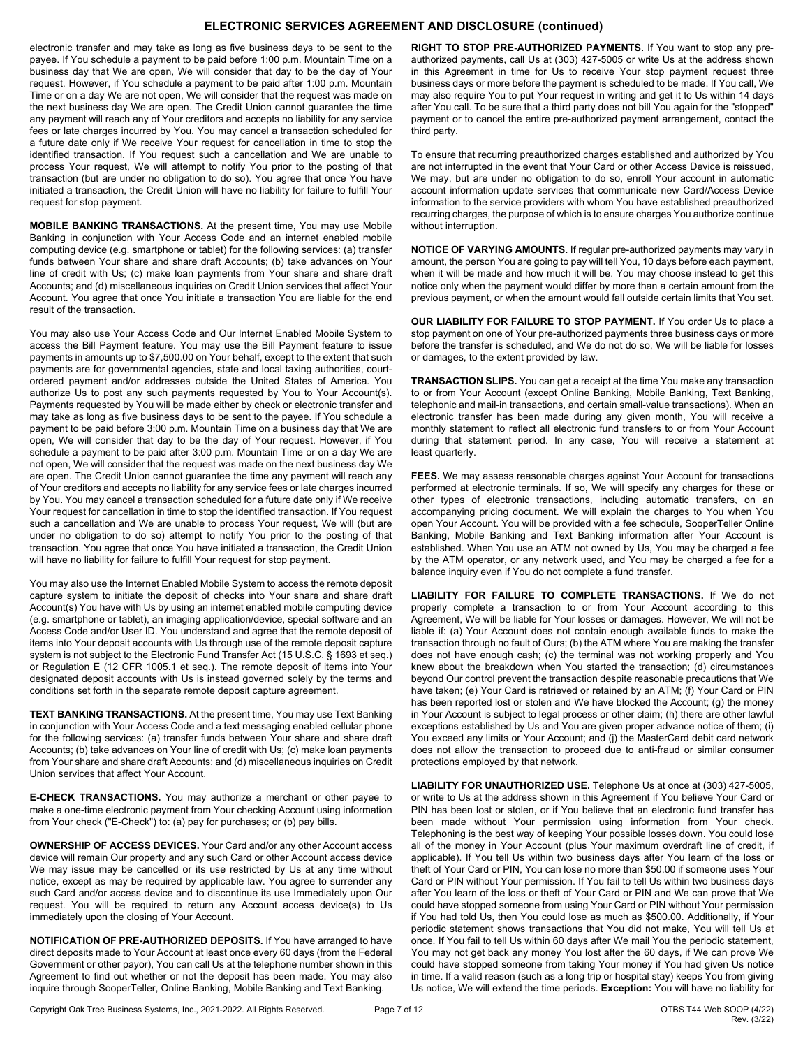## **ELECTRONIC SERVICES AGREEMENT AND DISCLOSURE (continued)**

electronic transfer and may take as long as five business days to be sent to the payee. If You schedule a payment to be paid before 1:00 p.m. Mountain Time on a business day that We are open, We will consider that day to be the day of Your request. However, if You schedule a payment to be paid after 1:00 p.m. Mountain Time or on a day We are not open, We will consider that the request was made on the next business day We are open. The Credit Union cannot guarantee the time any payment will reach any of Your creditors and accepts no liability for any service fees or late charges incurred by You. You may cancel a transaction scheduled for a future date only if We receive Your request for cancellation in time to stop the identified transaction. If You request such a cancellation and We are unable to process Your request, We will attempt to notify You prior to the posting of that transaction (but are under no obligation to do so). You agree that once You have initiated a transaction, the Credit Union will have no liability for failure to fulfill Your request for stop payment.

**MOBILE BANKING TRANSACTIONS.** At the present time, You may use Mobile Banking in conjunction with Your Access Code and an internet enabled mobile computing device (e.g. smartphone or tablet) for the following services: (a) transfer funds between Your share and share draft Accounts; (b) take advances on Your line of credit with Us; (c) make loan payments from Your share and share draft Accounts; and (d) miscellaneous inquiries on Credit Union services that affect Your Account. You agree that once You initiate a transaction You are liable for the end result of the transaction.

You may also use Your Access Code and Our Internet Enabled Mobile System to access the Bill Payment feature. You may use the Bill Payment feature to issue payments in amounts up to \$7,500.00 on Your behalf, except to the extent that such payments are for governmental agencies, state and local taxing authorities, courtordered payment and/or addresses outside the United States of America. You authorize Us to post any such payments requested by You to Your Account(s). Payments requested by You will be made either by check or electronic transfer and may take as long as five business days to be sent to the payee. If You schedule a payment to be paid before 3:00 p.m. Mountain Time on a business day that We are open, We will consider that day to be the day of Your request. However, if You schedule a payment to be paid after 3:00 p.m. Mountain Time or on a day We are not open, We will consider that the request was made on the next business day We are open. The Credit Union cannot guarantee the time any payment will reach any of Your creditors and accepts no liability for any service fees or late charges incurred by You. You may cancel a transaction scheduled for a future date only if We receive Your request for cancellation in time to stop the identified transaction. If You request such a cancellation and We are unable to process Your request, We will (but are under no obligation to do so) attempt to notify You prior to the posting of that transaction. You agree that once You have initiated a transaction, the Credit Union will have no liability for failure to fulfill Your request for stop payment.

You may also use the Internet Enabled Mobile System to access the remote deposit capture system to initiate the deposit of checks into Your share and share draft Account(s) You have with Us by using an internet enabled mobile computing device (e.g. smartphone or tablet), an imaging application/device, special software and an Access Code and/or User ID. You understand and agree that the remote deposit of items into Your deposit accounts with Us through use of the remote deposit capture system is not subject to the Electronic Fund Transfer Act (15 U.S.C. § 1693 et seq.) or Regulation E (12 CFR 1005.1 et seq.). The remote deposit of items into Your designated deposit accounts with Us is instead governed solely by the terms and conditions set forth in the separate remote deposit capture agreement.

**TEXT BANKING TRANSACTIONS.** At the present time, You may use Text Banking in conjunction with Your Access Code and a text messaging enabled cellular phone for the following services: (a) transfer funds between Your share and share draft Accounts; (b) take advances on Your line of credit with Us; (c) make loan payments from Your share and share draft Accounts; and (d) miscellaneous inquiries on Credit Union services that affect Your Account.

**E-CHECK TRANSACTIONS.** You may authorize a merchant or other payee to make a one-time electronic payment from Your checking Account using information from Your check ("E-Check") to: (a) pay for purchases; or (b) pay bills.

**OWNERSHIP OF ACCESS DEVICES.** Your Card and/or any other Account access device will remain Our property and any such Card or other Account access device We may issue may be cancelled or its use restricted by Us at any time without notice, except as may be required by applicable law. You agree to surrender any such Card and/or access device and to discontinue its use Immediately upon Our request. You will be required to return any Account access device(s) to Us immediately upon the closing of Your Account.

**NOTIFICATION OF PRE-AUTHORIZED DEPOSITS.** If You have arranged to have direct deposits made to Your Account at least once every 60 days (from the Federal Government or other payor), You can call Us at the telephone number shown in this Agreement to find out whether or not the deposit has been made. You may also inquire through SooperTeller, Online Banking, Mobile Banking and Text Banking.

**RIGHT TO STOP PRE-AUTHORIZED PAYMENTS.** If You want to stop any preauthorized payments, call Us at (303) 427-5005 or write Us at the address shown in this Agreement in time for Us to receive Your stop payment request three business days or more before the payment is scheduled to be made. If You call, We may also require You to put Your request in writing and get it to Us within 14 days after You call. To be sure that a third party does not bill You again for the "stopped" payment or to cancel the entire pre-authorized payment arrangement, contact the third party.

To ensure that recurring preauthorized charges established and authorized by You are not interrupted in the event that Your Card or other Access Device is reissued, We may, but are under no obligation to do so, enroll Your account in automatic account information update services that communicate new Card/Access Device information to the service providers with whom You have established preauthorized recurring charges, the purpose of which is to ensure charges You authorize continue without interruption.

**NOTICE OF VARYING AMOUNTS.** If regular pre-authorized payments may vary in amount, the person You are going to pay will tell You, 10 days before each payment, when it will be made and how much it will be. You may choose instead to get this notice only when the payment would differ by more than a certain amount from the previous payment, or when the amount would fall outside certain limits that You set.

**OUR LIABILITY FOR FAILURE TO STOP PAYMENT.** If You order Us to place a stop payment on one of Your pre-authorized payments three business days or more before the transfer is scheduled, and We do not do so, We will be liable for losses or damages, to the extent provided by law.

**TRANSACTION SLIPS.** You can get a receipt at the time You make any transaction to or from Your Account (except Online Banking, Mobile Banking, Text Banking, telephonic and mail-in transactions, and certain small-value transactions). When an electronic transfer has been made during any given month, You will receive a monthly statement to reflect all electronic fund transfers to or from Your Account during that statement period. In any case, You will receive a statement at least quarterly.

**FEES.** We may assess reasonable charges against Your Account for transactions performed at electronic terminals. If so, We will specify any charges for these or other types of electronic transactions, including automatic transfers, on an accompanying pricing document. We will explain the charges to You when You open Your Account. You will be provided with a fee schedule, SooperTeller Online Banking, Mobile Banking and Text Banking information after Your Account is established. When You use an ATM not owned by Us, You may be charged a fee by the ATM operator, or any network used, and You may be charged a fee for a balance inquiry even if You do not complete a fund transfer.

**LIABILITY FOR FAILURE TO COMPLETE TRANSACTIONS.** If We do not properly complete a transaction to or from Your Account according to this Agreement, We will be liable for Your losses or damages. However, We will not be liable if: (a) Your Account does not contain enough available funds to make the transaction through no fault of Ours; (b) the ATM where You are making the transfer does not have enough cash; (c) the terminal was not working properly and You knew about the breakdown when You started the transaction; (d) circumstances beyond Our control prevent the transaction despite reasonable precautions that We have taken; (e) Your Card is retrieved or retained by an ATM; (f) Your Card or PIN has been reported lost or stolen and We have blocked the Account; (g) the money in Your Account is subject to legal process or other claim; (h) there are other lawful exceptions established by Us and You are given proper advance notice of them; (i) You exceed any limits or Your Account; and (j) the MasterCard debit card network does not allow the transaction to proceed due to anti-fraud or similar consumer protections employed by that network.

**LIABILITY FOR UNAUTHORIZED USE.** Telephone Us at once at (303) 427-5005, or write to Us at the address shown in this Agreement if You believe Your Card or PIN has been lost or stolen, or if You believe that an electronic fund transfer has been made without Your permission using information from Your check. Telephoning is the best way of keeping Your possible losses down. You could lose all of the money in Your Account (plus Your maximum overdraft line of credit, if applicable). If You tell Us within two business days after You learn of the loss or theft of Your Card or PIN, You can lose no more than \$50.00 if someone uses Your Card or PIN without Your permission. If You fail to tell Us within two business days after You learn of the loss or theft of Your Card or PIN and We can prove that We could have stopped someone from using Your Card or PIN without Your permission if You had told Us, then You could lose as much as \$500.00. Additionally, if Your periodic statement shows transactions that You did not make, You will tell Us at once. If You fail to tell Us within 60 days after We mail You the periodic statement, You may not get back any money You lost after the 60 days, if We can prove We could have stopped someone from taking Your money if You had given Us notice in time. If a valid reason (such as a long trip or hospital stay) keeps You from giving Us notice, We will extend the time periods. **Exception:** You will have no liability for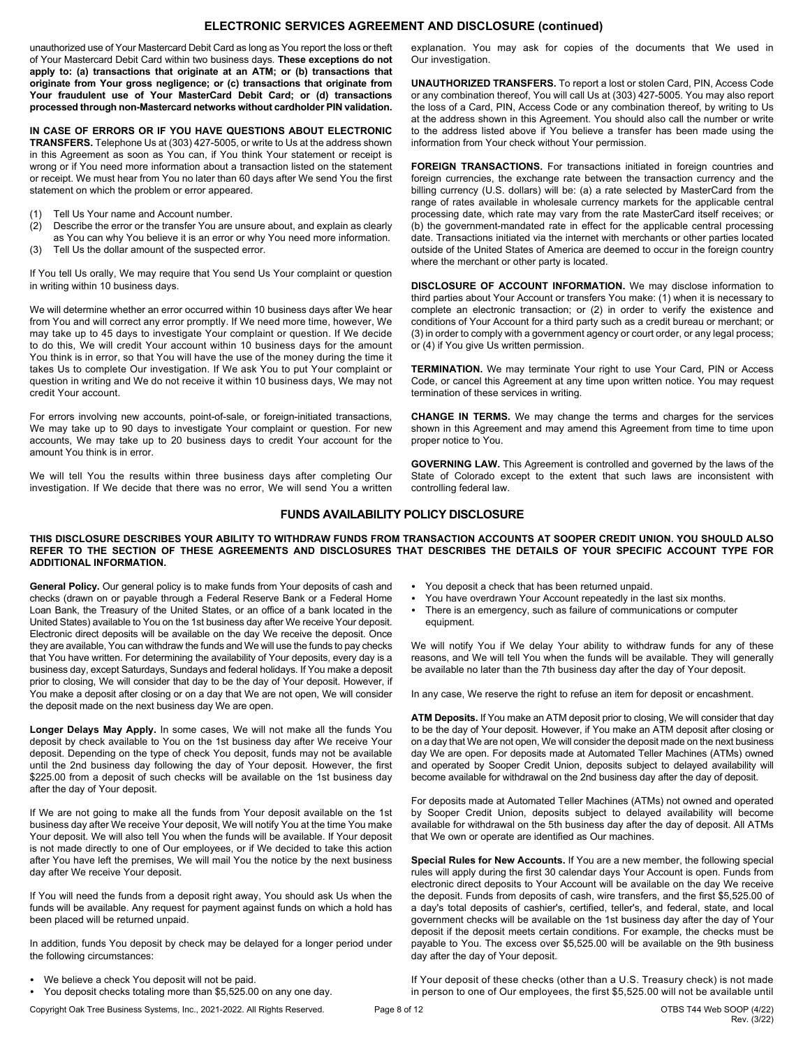## **ELECTRONIC SERVICES AGREEMENT AND DISCLOSURE (continued)**

unauthorized use of Your Mastercard Debit Card as long as You report the loss or theft of Your Mastercard Debit Card within two business days. **These exceptions do not apply to: (a) transactions that originate at an ATM; or (b) transactions that originate from Your gross negligence; or (c) transactions that originate from Your fraudulent use of Your MasterCard Debit Card; or (d) transactions processed through non-Mastercard networks without cardholder PIN validation.**

**IN CASE OF ERRORS OR IF YOU HAVE QUESTIONS ABOUT ELECTRONIC TRANSFERS.** Telephone Us at (303) 427-5005, or write to Us at the address shown in this Agreement as soon as You can, if You think Your statement or receipt is wrong or if You need more information about a transaction listed on the statement or receipt. We must hear from You no later than 60 days after We send You the first statement on which the problem or error appeared.

- (1) Tell Us Your name and Account number.
- (2) Describe the error or the transfer You are unsure about, and explain as clearly as You can why You believe it is an error or why You need more information.
- (3) Tell Us the dollar amount of the suspected error.

If You tell Us orally, We may require that You send Us Your complaint or question in writing within 10 business days.

We will determine whether an error occurred within 10 business days after We hear from You and will correct any error promptly. If We need more time, however, We may take up to 45 days to investigate Your complaint or question. If We decide to do this, We will credit Your account within 10 business days for the amount You think is in error, so that You will have the use of the money during the time it takes Us to complete Our investigation. If We ask You to put Your complaint or question in writing and We do not receive it within 10 business days, We may not credit Your account.

For errors involving new accounts, point-of-sale, or foreign-initiated transactions, We may take up to 90 days to investigate Your complaint or question. For new accounts, We may take up to 20 business days to credit Your account for the amount You think is in error.

We will tell You the results within three business days after completing Our investigation. If We decide that there was no error, We will send You a written explanation. You may ask for copies of the documents that We used in Our investigation.

**UNAUTHORIZED TRANSFERS.** To report a lost or stolen Card, PIN, Access Code or any combination thereof, You will call Us at (303) 427-5005. You may also report the loss of a Card, PIN, Access Code or any combination thereof, by writing to Us at the address shown in this Agreement. You should also call the number or write to the address listed above if You believe a transfer has been made using the information from Your check without Your permission.

**FOREIGN TRANSACTIONS.** For transactions initiated in foreign countries and foreign currencies, the exchange rate between the transaction currency and the billing currency (U.S. dollars) will be: (a) a rate selected by MasterCard from the range of rates available in wholesale currency markets for the applicable central processing date, which rate may vary from the rate MasterCard itself receives; or (b) the government-mandated rate in effect for the applicable central processing date. Transactions initiated via the internet with merchants or other parties located outside of the United States of America are deemed to occur in the foreign country where the merchant or other party is located.

**DISCLOSURE OF ACCOUNT INFORMATION.** We may disclose information to third parties about Your Account or transfers You make: (1) when it is necessary to complete an electronic transaction; or (2) in order to verify the existence and conditions of Your Account for a third party such as a credit bureau or merchant; or (3) in order to comply with a government agency or court order, or any legal process; or (4) if You give Us written permission.

**TERMINATION.** We may terminate Your right to use Your Card, PIN or Access Code, or cancel this Agreement at any time upon written notice. You may request termination of these services in writing.

**CHANGE IN TERMS.** We may change the terms and charges for the services shown in this Agreement and may amend this Agreement from time to time upon proper notice to You.

**GOVERNING LAW.** This Agreement is controlled and governed by the laws of the State of Colorado except to the extent that such laws are inconsistent with controlling federal law.

## **FUNDS AVAILABILITY POLICY DISCLOSURE**

#### THIS DISCLOSURE DESCRIBES YOUR ABILITY TO WITHDRAW FUNDS FROM TRANSACTION ACCOUNTS AT SOOPER CREDIT UNION. YOU SHOULD ALSO REFER TO THE SECTION OF THESE AGREEMENTS AND DISCLOSURES THAT DESCRIBES THE DETAILS OF YOUR SPECIFIC ACCOUNT TYPE FOR **ADDITIONAL INFORMATION.**

**General Policy.** Our general policy is to make funds from Your deposits of cash and checks (drawn on or payable through a Federal Reserve Bank or a Federal Home Loan Bank, the Treasury of the United States, or an office of a bank located in the United States) available to You on the 1st business day after We receive Your deposit. Electronic direct deposits will be available on the day We receive the deposit. Once they are available, You can withdraw the funds and We will use the funds to pay checks that You have written. For determining the availability of Your deposits, every day is a business day, except Saturdays, Sundays and federal holidays. If You make a deposit prior to closing, We will consider that day to be the day of Your deposit. However, if You make a deposit after closing or on a day that We are not open, We will consider the deposit made on the next business day We are open.

**Longer Delays May Apply.** In some cases, We will not make all the funds You deposit by check available to You on the 1st business day after We receive Your deposit. Depending on the type of check You deposit, funds may not be available until the 2nd business day following the day of Your deposit. However, the first \$225.00 from a deposit of such checks will be available on the 1st business day after the day of Your deposit.

If We are not going to make all the funds from Your deposit available on the 1st business day after We receive Your deposit, We will notify You at the time You make Your deposit. We will also tell You when the funds will be available. If Your deposit is not made directly to one of Our employees, or if We decided to take this action after You have left the premises, We will mail You the notice by the next business day after We receive Your deposit.

If You will need the funds from a deposit right away, You should ask Us when the funds will be available. Any request for payment against funds on which a hold has been placed will be returned unpaid.

In addition, funds You deposit by check may be delayed for a longer period under the following circumstances:

- We believe a check You deposit will not be paid.
- You deposit checks totaling more than \$5,525.00 on any one day.

Copyright Oak Tree Business Systems, Inc., 2021-2022. All Rights Reserved. Page 8 of 12 OTBS T44 Web SOOP (4/22)



- You have overdrawn Your Account repeatedly in the last six months.
- There is an emergency, such as failure of communications or computer equipment.

We will notify You if We delay Your ability to withdraw funds for any of these reasons, and We will tell You when the funds will be available. They will generally be available no later than the 7th business day after the day of Your deposit.

In any case, We reserve the right to refuse an item for deposit or encashment.

**ATM Deposits.** If You make an ATM deposit prior to closing, We will consider that day to be the day of Your deposit. However, if You make an ATM deposit after closing or on a day that We are not open, We will consider the deposit made on the next business day We are open. For deposits made at Automated Teller Machines (ATMs) owned and operated by Sooper Credit Union, deposits subject to delayed availability will become available for withdrawal on the 2nd business day after the day of deposit.

For deposits made at Automated Teller Machines (ATMs) not owned and operated by Sooper Credit Union, deposits subject to delayed availability will become available for withdrawal on the 5th business day after the day of deposit. All ATMs that We own or operate are identified as Our machines.

**Special Rules for New Accounts.** If You are a new member, the following special rules will apply during the first 30 calendar days Your Account is open. Funds from electronic direct deposits to Your Account will be available on the day We receive the deposit. Funds from deposits of cash, wire transfers, and the first \$5,525.00 of a day's total deposits of cashier's, certified, teller's, and federal, state, and local government checks will be available on the 1st business day after the day of Your deposit if the deposit meets certain conditions. For example, the checks must be payable to You. The excess over \$5,525.00 will be available on the 9th business day after the day of Your deposit.

If Your deposit of these checks (other than a U.S. Treasury check) is not made in person to one of Our employees, the first \$5,525.00 will not be available until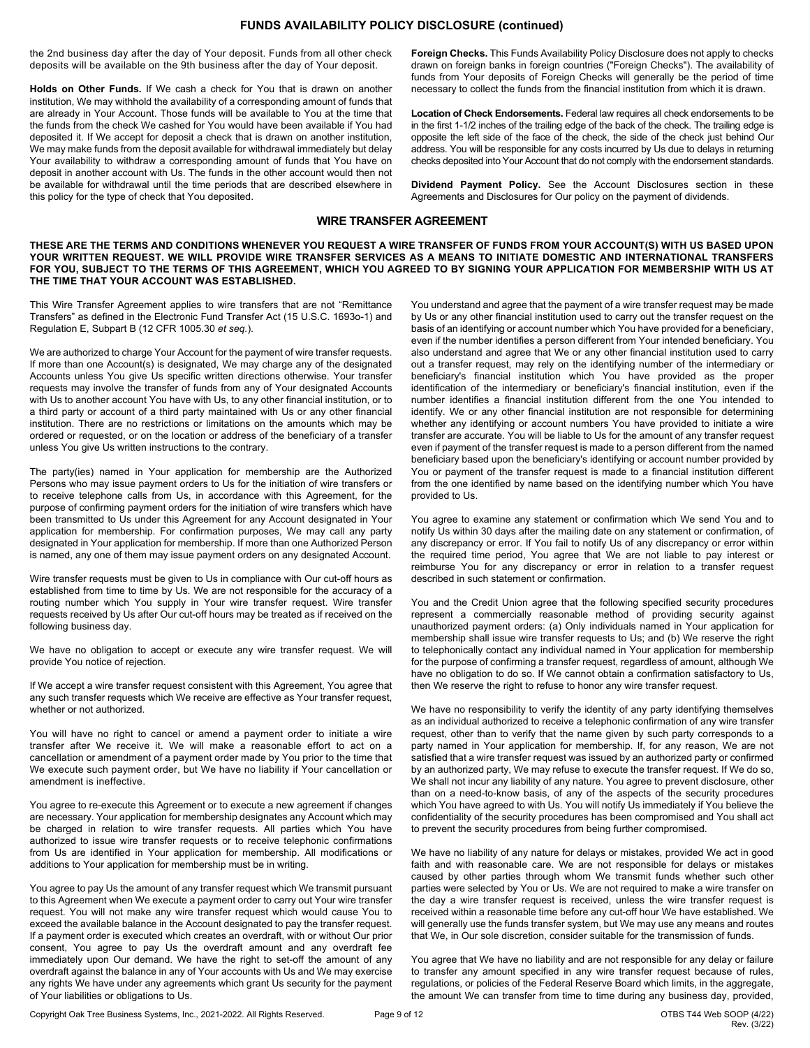## **FUNDS AVAILABILITY POLICY DISCLOSURE (continued)**

the 2nd business day after the day of Your deposit. Funds from all other check deposits will be available on the 9th business after the day of Your deposit.

**Holds on Other Funds.** If We cash a check for You that is drawn on another institution, We may withhold the availability of a corresponding amount of funds that are already in Your Account. Those funds will be available to You at the time that the funds from the check We cashed for You would have been available if You had deposited it. If We accept for deposit a check that is drawn on another institution, We may make funds from the deposit available for withdrawal immediately but delay Your availability to withdraw a corresponding amount of funds that You have on deposit in another account with Us. The funds in the other account would then not be available for withdrawal until the time periods that are described elsewhere in this policy for the type of check that You deposited.

**Foreign Checks.** This Funds Availability Policy Disclosure does not apply to checks drawn on foreign banks in foreign countries ("Foreign Checks"). The availability of funds from Your deposits of Foreign Checks will generally be the period of time necessary to collect the funds from the financial institution from which it is drawn.

**Location of Check Endorsements.** Federal law requires all check endorsements to be in the first 1-1/2 inches of the trailing edge of the back of the check. The trailing edge is opposite the left side of the face of the check, the side of the check just behind Our address. You will be responsible for any costs incurred by Us due to delays in returning checks deposited into Your Account that do not comply with the endorsement standards.

**Dividend Payment Policy.** See the Account Disclosures section in these Agreements and Disclosures for Our policy on the payment of dividends.

#### **WIRE TRANSFER AGREEMENT**

#### THESE ARE THE TERMS AND CONDITIONS WHENEVER YOU REQUEST A WIRE TRANSFER OF FUNDS FROM YOUR ACCOUNT(S) WITH US BASED UPON YOUR WRITTEN REQUEST. WE WILL PROVIDE WIRE TRANSFER SERVICES AS A MEANS TO INITIATE DOMESTIC AND INTERNATIONAL TRANSFERS FOR YOU, SUBJECT TO THE TERMS OF THIS AGREEMENT, WHICH YOU AGREED TO BY SIGNING YOUR APPLICATION FOR MEMBERSHIP WITH US AT **THE TIME THAT YOUR ACCOUNT WAS ESTABLISHED.**

This Wire Transfer Agreement applies to wire transfers that are not "Remittance Transfers" as defined in the Electronic Fund Transfer Act (15 U.S.C. 1693o-1) and Regulation E, Subpart B (12 CFR 1005.30 *et seq.*).

We are authorized to charge Your Account for the payment of wire transfer requests. If more than one Account(s) is designated, We may charge any of the designated Accounts unless You give Us specific written directions otherwise. Your transfer requests may involve the transfer of funds from any of Your designated Accounts with Us to another account You have with Us, to any other financial institution, or to a third party or account of a third party maintained with Us or any other financial institution. There are no restrictions or limitations on the amounts which may be ordered or requested, or on the location or address of the beneficiary of a transfer unless You give Us written instructions to the contrary.

The party(ies) named in Your application for membership are the Authorized Persons who may issue payment orders to Us for the initiation of wire transfers or to receive telephone calls from Us, in accordance with this Agreement, for the purpose of confirming payment orders for the initiation of wire transfers which have been transmitted to Us under this Agreement for any Account designated in Your application for membership. For confirmation purposes, We may call any party designated in Your application for membership. If more than one Authorized Person is named, any one of them may issue payment orders on any designated Account.

Wire transfer requests must be given to Us in compliance with Our cut-off hours as established from time to time by Us. We are not responsible for the accuracy of a routing number which You supply in Your wire transfer request. Wire transfer requests received by Us after Our cut-off hours may be treated as if received on the following business day.

We have no obligation to accept or execute any wire transfer request. We will provide You notice of rejection.

If We accept a wire transfer request consistent with this Agreement, You agree that any such transfer requests which We receive are effective as Your transfer request, whether or not authorized.

You will have no right to cancel or amend a payment order to initiate a wire transfer after We receive it. We will make a reasonable effort to act on a cancellation or amendment of a payment order made by You prior to the time that We execute such payment order, but We have no liability if Your cancellation or amendment is ineffective.

You agree to re-execute this Agreement or to execute a new agreement if changes are necessary. Your application for membership designates any Account which may be charged in relation to wire transfer requests. All parties which You have authorized to issue wire transfer requests or to receive telephonic confirmations from Us are identified in Your application for membership. All modifications or additions to Your application for membership must be in writing.

You agree to pay Us the amount of any transfer request which We transmit pursuant to this Agreement when We execute a payment order to carry out Your wire transfer request. You will not make any wire transfer request which would cause You to exceed the available balance in the Account designated to pay the transfer request. If a payment order is executed which creates an overdraft, with or without Our prior consent, You agree to pay Us the overdraft amount and any overdraft fee immediately upon Our demand. We have the right to set-off the amount of any overdraft against the balance in any of Your accounts with Us and We may exercise any rights We have under any agreements which grant Us security for the payment of Your liabilities or obligations to Us.

You understand and agree that the payment of a wire transfer request may be made by Us or any other financial institution used to carry out the transfer request on the basis of an identifying or account number which You have provided for a beneficiary, even if the number identifies a person different from Your intended beneficiary. You also understand and agree that We or any other financial institution used to carry out a transfer request, may rely on the identifying number of the intermediary or beneficiary's financial institution which You have provided as the proper identification of the intermediary or beneficiary's financial institution, even if the number identifies a financial institution different from the one You intended to identify. We or any other financial institution are not responsible for determining whether any identifying or account numbers You have provided to initiate a wire transfer are accurate. You will be liable to Us for the amount of any transfer request even if payment of the transfer request is made to a person different from the named beneficiary based upon the beneficiary's identifying or account number provided by You or payment of the transfer request is made to a financial institution different from the one identified by name based on the identifying number which You have provided to Us.

You agree to examine any statement or confirmation which We send You and to notify Us within 30 days after the mailing date on any statement or confirmation, of any discrepancy or error. If You fail to notify Us of any discrepancy or error within the required time period, You agree that We are not liable to pay interest or reimburse You for any discrepancy or error in relation to a transfer request described in such statement or confirmation.

You and the Credit Union agree that the following specified security procedures represent a commercially reasonable method of providing security against unauthorized payment orders: (a) Only individuals named in Your application for membership shall issue wire transfer requests to Us; and (b) We reserve the right to telephonically contact any individual named in Your application for membership for the purpose of confirming a transfer request, regardless of amount, although We have no obligation to do so. If We cannot obtain a confirmation satisfactory to Us, then We reserve the right to refuse to honor any wire transfer request.

We have no responsibility to verify the identity of any party identifying themselves as an individual authorized to receive a telephonic confirmation of any wire transfer request, other than to verify that the name given by such party corresponds to a party named in Your application for membership. If, for any reason, We are not satisfied that a wire transfer request was issued by an authorized party or confirmed by an authorized party, We may refuse to execute the transfer request. If We do so, We shall not incur any liability of any nature. You agree to prevent disclosure, other than on a need-to-know basis, of any of the aspects of the security procedures which You have agreed to with Us. You will notify Us immediately if You believe the confidentiality of the security procedures has been compromised and You shall act to prevent the security procedures from being further compromised.

We have no liability of any nature for delays or mistakes, provided We act in good faith and with reasonable care. We are not responsible for delays or mistakes caused by other parties through whom We transmit funds whether such other parties were selected by You or Us. We are not required to make a wire transfer on the day a wire transfer request is received, unless the wire transfer request is received within a reasonable time before any cut-off hour We have established. We will generally use the funds transfer system, but We may use any means and routes that We, in Our sole discretion, consider suitable for the transmission of funds.

You agree that We have no liability and are not responsible for any delay or failure to transfer any amount specified in any wire transfer request because of rules, regulations, or policies of the Federal Reserve Board which limits, in the aggregate, the amount We can transfer from time to time during any business day, provided,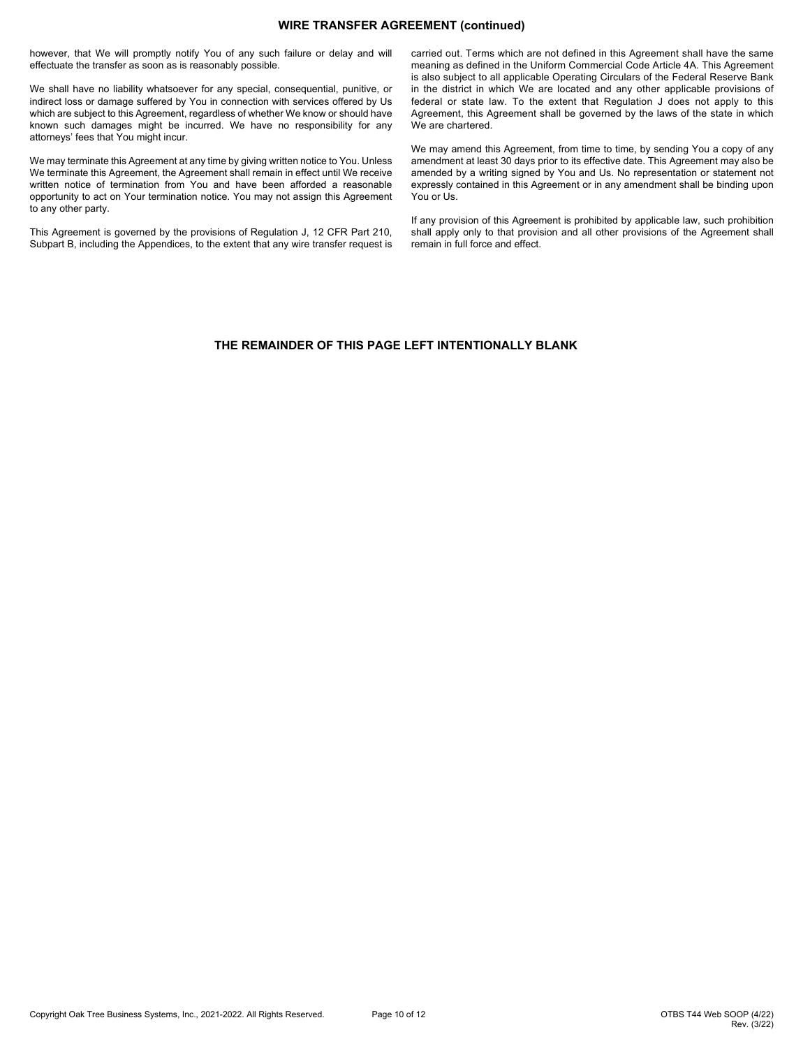## **WIRE TRANSFER AGREEMENT (continued)**

however, that We will promptly notify You of any such failure or delay and will effectuate the transfer as soon as is reasonably possible.

We shall have no liability whatsoever for any special, consequential, punitive, or indirect loss or damage suffered by You in connection with services offered by Us which are subject to this Agreement, regardless of whether We know or should have known such damages might be incurred. We have no responsibility for any attorneys' fees that You might incur.

We may terminate this Agreement at any time by giving written notice to You. Unless We terminate this Agreement, the Agreement shall remain in effect until We receive written notice of termination from You and have been afforded a reasonable opportunity to act on Your termination notice. You may not assign this Agreement to any other party.

This Agreement is governed by the provisions of Regulation J, 12 CFR Part 210, Subpart B, including the Appendices, to the extent that any wire transfer request is carried out. Terms which are not defined in this Agreement shall have the same meaning as defined in the Uniform Commercial Code Article 4A. This Agreement is also subject to all applicable Operating Circulars of the Federal Reserve Bank in the district in which We are located and any other applicable provisions of federal or state law. To the extent that Regulation J does not apply to this Agreement, this Agreement shall be governed by the laws of the state in which We are chartered.

We may amend this Agreement, from time to time, by sending You a copy of any amendment at least 30 days prior to its effective date. This Agreement may also be amended by a writing signed by You and Us. No representation or statement not expressly contained in this Agreement or in any amendment shall be binding upon You or Us.

If any provision of this Agreement is prohibited by applicable law, such prohibition shall apply only to that provision and all other provisions of the Agreement shall remain in full force and effect.

## **THE REMAINDER OF THIS PAGE LEFT INTENTIONALLY BLANK**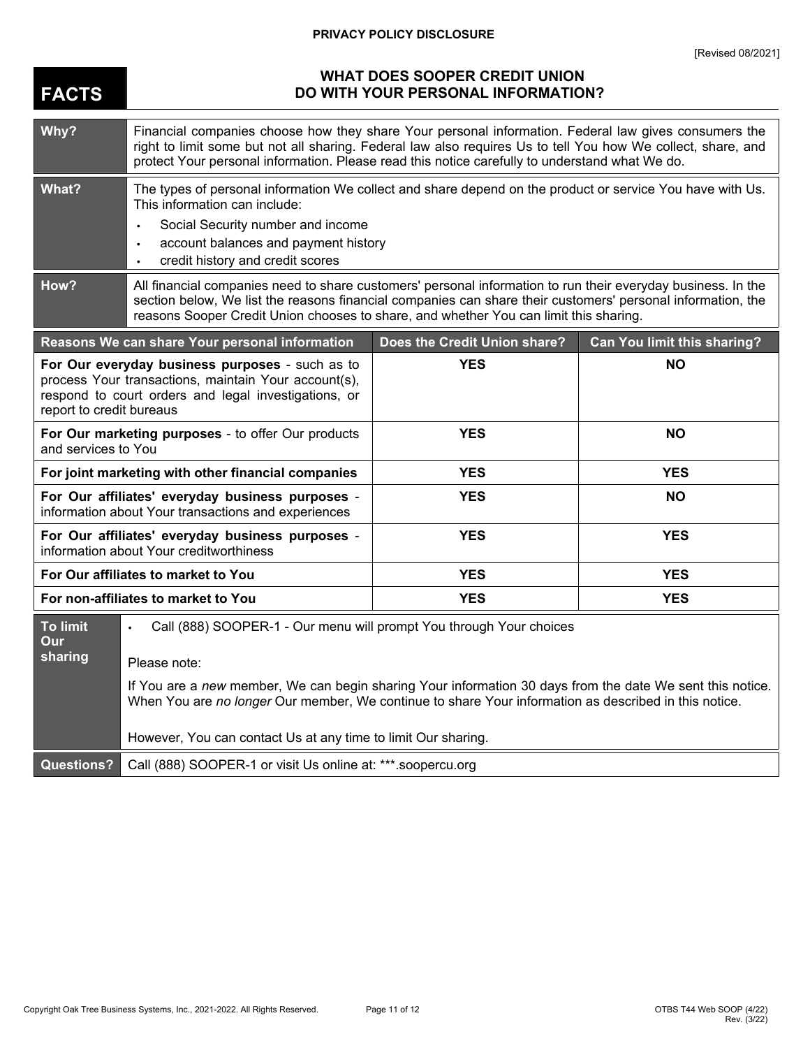# **PRIVACY POLICY DISCLOSURE**

| <b>FACTS</b>                                                                                                                                                                                | <b>WHAT DOES SOOPER CREDIT UNION</b><br>DO WITH YOUR PERSONAL INFORMATION?                                                                                                                                                                                                                                             |                              |                                    |
|---------------------------------------------------------------------------------------------------------------------------------------------------------------------------------------------|------------------------------------------------------------------------------------------------------------------------------------------------------------------------------------------------------------------------------------------------------------------------------------------------------------------------|------------------------------|------------------------------------|
| Why?                                                                                                                                                                                        | Financial companies choose how they share Your personal information. Federal law gives consumers the<br>right to limit some but not all sharing. Federal law also requires Us to tell You how We collect, share, and<br>protect Your personal information. Please read this notice carefully to understand what We do. |                              |                                    |
| What?                                                                                                                                                                                       | The types of personal information We collect and share depend on the product or service You have with Us.<br>This information can include:<br>Social Security number and income<br>$\bullet$<br>account balances and payment history<br>$\bullet$<br>credit history and credit scores<br>$\bullet$                     |                              |                                    |
| How?                                                                                                                                                                                        | All financial companies need to share customers' personal information to run their everyday business. In the<br>section below, We list the reasons financial companies can share their customers' personal information, the<br>reasons Sooper Credit Union chooses to share, and whether You can limit this sharing.   |                              |                                    |
|                                                                                                                                                                                             | Reasons We can share Your personal information                                                                                                                                                                                                                                                                         | Does the Credit Union share? | <b>Can You limit this sharing?</b> |
| For Our everyday business purposes - such as to<br>process Your transactions, maintain Your account(s),<br>respond to court orders and legal investigations, or<br>report to credit bureaus |                                                                                                                                                                                                                                                                                                                        | <b>YES</b>                   | <b>NO</b>                          |
| For Our marketing purposes - to offer Our products<br>and services to You                                                                                                                   |                                                                                                                                                                                                                                                                                                                        | <b>YES</b>                   | <b>NO</b>                          |
| For joint marketing with other financial companies                                                                                                                                          |                                                                                                                                                                                                                                                                                                                        | <b>YES</b>                   | <b>YES</b>                         |
| For Our affiliates' everyday business purposes -<br>information about Your transactions and experiences                                                                                     |                                                                                                                                                                                                                                                                                                                        | <b>YES</b>                   | <b>NO</b>                          |
| For Our affiliates' everyday business purposes -<br>information about Your creditworthiness                                                                                                 |                                                                                                                                                                                                                                                                                                                        | <b>YES</b>                   | <b>YES</b>                         |
| For Our affiliates to market to You                                                                                                                                                         |                                                                                                                                                                                                                                                                                                                        | <b>YES</b>                   | <b>YES</b>                         |
| For non-affiliates to market to You                                                                                                                                                         |                                                                                                                                                                                                                                                                                                                        | <b>YES</b>                   | <b>YES</b>                         |
| <b>To limit</b><br>Our<br>sharing                                                                                                                                                           | Call (888) SOOPER-1 - Our menu will prompt You through Your choices<br>Please note:                                                                                                                                                                                                                                    |                              |                                    |
|                                                                                                                                                                                             | If You are a new member, We can begin sharing Your information 30 days from the date We sent this notice.<br>When You are no longer Our member, We continue to share Your information as described in this notice.                                                                                                     |                              |                                    |
|                                                                                                                                                                                             | However, You can contact Us at any time to limit Our sharing.                                                                                                                                                                                                                                                          |                              |                                    |
| <b>Questions?</b>                                                                                                                                                                           | Call (888) SOOPER-1 or visit Us online at: ***.soopercu.org                                                                                                                                                                                                                                                            |                              |                                    |